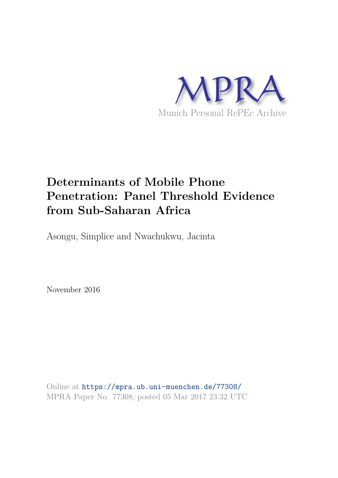

# **Determinants of Mobile Phone Penetration: Panel Threshold Evidence from Sub-Saharan Africa**

Asongu, Simplice and Nwachukwu, Jacinta

November 2016

Online at https://mpra.ub.uni-muenchen.de/77308/ MPRA Paper No. 77308, posted 05 Mar 2017 23:32 UTC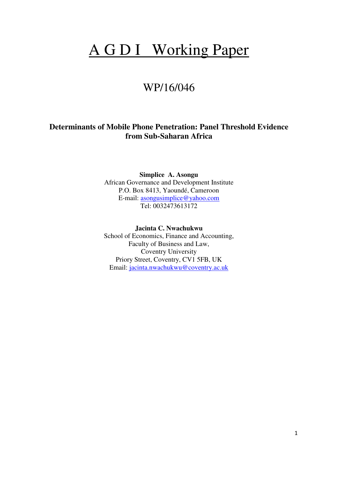# A G D I Working Paper

# WP/16/046

# **Determinants of Mobile Phone Penetration: Panel Threshold Evidence from Sub-Saharan Africa**

**Simplice A. Asongu**  African Governance and Development Institute P.O. Box 8413, Yaoundé, Cameroon E-mail: [asongusimplice@yahoo.com](mailto:asongusimplice@yahoo.com) Tel: 0032473613172

**Jacinta C. Nwachukwu**  School of Economics, Finance and Accounting, Faculty of Business and Law, Coventry University Priory Street, Coventry, CV1 5FB, UK Email: [jacinta.nwachukwu@coventry.ac.uk](mailto:jacinta.nwachukwu@coventry.ac.uk)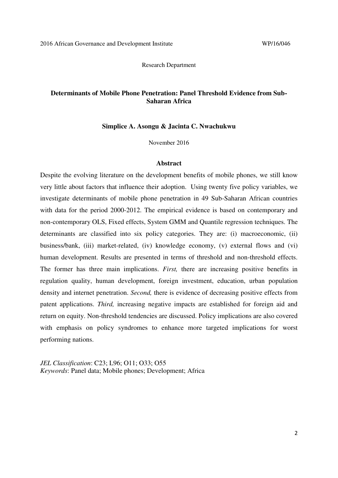Research Department

# **Determinants of Mobile Phone Penetration: Panel Threshold Evidence from Sub-Saharan Africa**

#### **Simplice A. Asongu & Jacinta C. Nwachukwu**

November 2016

#### **Abstract**

Despite the evolving literature on the development benefits of mobile phones, we still know very little about factors that influence their adoption. Using twenty five policy variables, we investigate determinants of mobile phone penetration in 49 Sub-Saharan African countries with data for the period 2000-2012. The empirical evidence is based on contemporary and non-contemporary OLS, Fixed effects, System GMM and Quantile regression techniques. The determinants are classified into six policy categories. They are: (i) macroeconomic, (ii) business/bank, (iii) market-related, (iv) knowledge economy, (v) external flows and (vi) human development. Results are presented in terms of threshold and non-threshold effects. The former has three main implications. *First,* there are increasing positive benefits in regulation quality, human development, foreign investment, education, urban population density and internet penetration. *Second,* there is evidence of decreasing positive effects from patent applications. *Third,* increasing negative impacts are established for foreign aid and return on equity. Non-threshold tendencies are discussed. Policy implications are also covered with emphasis on policy syndromes to enhance more targeted implications for worst performing nations.

*JEL Classification*: C23; L96; O11; O33; O55 *Keywords*: Panel data; Mobile phones; Development; Africa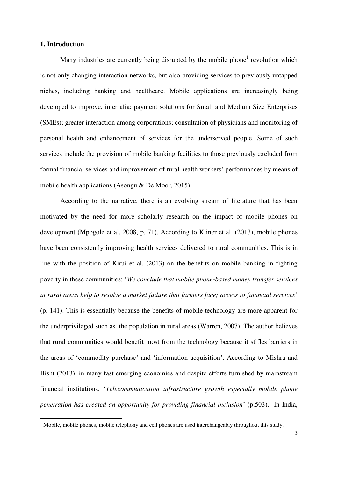# **1. Introduction**

 $\overline{a}$ 

Many industries are currently being disrupted by the mobile phone<sup>1</sup> revolution which is not only changing interaction networks, but also providing services to previously untapped niches, including banking and healthcare. Mobile applications are increasingly being developed to improve, inter alia: payment solutions for Small and Medium Size Enterprises (SMEs); greater interaction among corporations; consultation of physicians and monitoring of personal health and enhancement of services for the underserved people. Some of such services include the provision of mobile banking facilities to those previously excluded from formal financial services and improvement of rural health workers' performances by means of mobile health applications (Asongu & De Moor, 2015).

According to the narrative, there is an evolving stream of literature that has been motivated by the need for more scholarly research on the impact of mobile phones on development (Mpogole et al, 2008, p. 71). According to Kliner et al. (2013), mobile phones have been consistently improving health services delivered to rural communities. This is in line with the position of Kirui et al. (2013) on the benefits on mobile banking in fighting poverty in these communities: '*We conclude that mobile phone-based money transfer services in rural areas help to resolve a market failure that farmers face; access to financial services*' (p. 141). This is essentially because the benefits of mobile technology are more apparent for the underprivileged such as the population in rural areas (Warren, 2007). The author believes that rural communities would benefit most from the technology because it stifles barriers in the areas of 'commodity purchase' and 'information acquisition'. According to Mishra and Bisht (2013), in many fast emerging economies and despite efforts furnished by mainstream financial institutions, '*Telecommunication infrastructure growth especially mobile phone penetration has created an opportunity for providing financial inclusion*' (p.503). In India,

<sup>&</sup>lt;sup>1</sup> Mobile, mobile phones, mobile telephony and cell phones are used interchangeably throughout this study.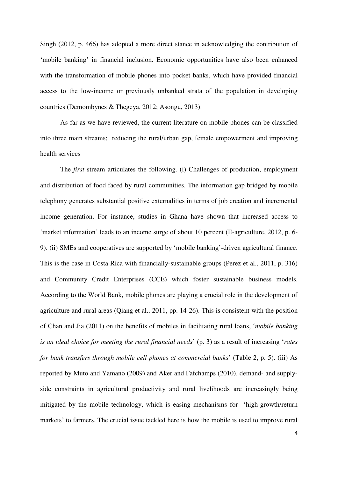Singh (2012, p. 466) has adopted a more direct stance in acknowledging the contribution of 'mobile banking' in financial inclusion. Economic opportunities have also been enhanced with the transformation of mobile phones into pocket banks, which have provided financial access to the low-income or previously unbanked strata of the population in developing countries (Demombynes & Thegeya, 2012; Asongu, 2013).

As far as we have reviewed, the current literature on mobile phones can be classified into three main streams; reducing the rural/urban gap, female empowerment and improving health services

The *first* stream articulates the following. (i) Challenges of production, employment and distribution of food faced by rural communities. The information gap bridged by mobile telephony generates substantial positive externalities in terms of job creation and incremental income generation. For instance, studies in Ghana have shown that increased access to 'market information' leads to an income surge of about 10 percent (E-agriculture, 2012, p. 6- 9). (ii) SMEs and cooperatives are supported by 'mobile banking'-driven agricultural finance. This is the case in Costa Rica with financially-sustainable groups (Perez et al., 2011, p. 316) and Community Credit Enterprises (CCE) which foster sustainable business models. According to the World Bank, mobile phones are playing a crucial role in the development of agriculture and rural areas (Qiang et al., 2011, pp. 14-26). This is consistent with the position of Chan and Jia (2011) on the benefits of mobiles in facilitating rural loans, '*mobile banking is an ideal choice for meeting the rural financial needs*' (p. 3) as a result of increasing '*rates for bank transfers through mobile cell phones at commercial banks*' (Table 2, p. 5). (iii) As reported by Muto and Yamano (2009) and Aker and Fafchamps (2010), demand- and supplyside constraints in agricultural productivity and rural livelihoods are increasingly being mitigated by the mobile technology, which is easing mechanisms for 'high-growth/return markets' to farmers. The crucial issue tackled here is how the mobile is used to improve rural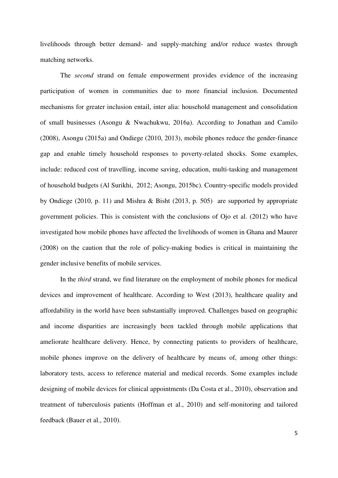livelihoods through better demand- and supply-matching and/or reduce wastes through matching networks.

 The *second* strand on female empowerment provides evidence of the increasing participation of women in communities due to more financial inclusion. Documented mechanisms for greater inclusion entail, inter alia: household management and consolidation of small businesses (Asongu & Nwachukwu, 2016a). According to Jonathan and Camilo (2008), Asongu (2015a) and Ondiege (2010, 2013), mobile phones reduce the gender-finance gap and enable timely household responses to poverty-related shocks. Some examples, include: reduced cost of travelling, income saving, education, multi-tasking and management of household budgets (Al Surikhi, 2012; Asongu, 2015bc). Country-specific models provided by Ondiege (2010, p. 11) and Mishra & Bisht (2013, p. 505) are supported by appropriate government policies. This is consistent with the conclusions of Ojo et al. (2012) who have investigated how mobile phones have affected the livelihoods of women in Ghana and Maurer (2008) on the caution that the role of policy-making bodies is critical in maintaining the gender inclusive benefits of mobile services.

 In the *third* strand, we find literature on the employment of mobile phones for medical devices and improvement of healthcare. According to West (2013), healthcare quality and affordability in the world have been substantially improved. Challenges based on geographic and income disparities are increasingly been tackled through mobile applications that ameliorate healthcare delivery. Hence, by connecting patients to providers of healthcare, mobile phones improve on the delivery of healthcare by means of, among other things: laboratory tests, access to reference material and medical records. Some examples include designing of mobile devices for clinical appointments (Da Costa et al., 2010), observation and treatment of tuberculosis patients (Hoffman et al., 2010) and self-monitoring and tailored feedback (Bauer et al., 2010).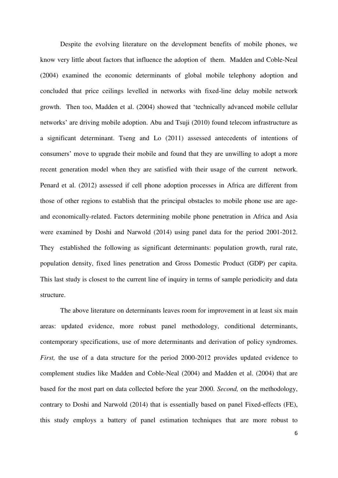Despite the evolving literature on the development benefits of mobile phones, we know very little about factors that influence the adoption of them. Madden and Coble-Neal (2004) examined the economic determinants of global mobile telephony adoption and concluded that price ceilings levelled in networks with fixed-line delay mobile network growth. Then too, Madden et al. (2004) showed that 'technically advanced mobile cellular networks' are driving mobile adoption. Abu and Tsuji (2010) found telecom infrastructure as a significant determinant. Tseng and Lo (2011) assessed antecedents of intentions of consumers' move to upgrade their mobile and found that they are unwilling to adopt a more recent generation model when they are satisfied with their usage of the current network. Penard et al. (2012) assessed if cell phone adoption processes in Africa are different from those of other regions to establish that the principal obstacles to mobile phone use are ageand economically-related. Factors determining mobile phone penetration in Africa and Asia were examined by Doshi and Narwold (2014) using panel data for the period 2001-2012. They established the following as significant determinants: population growth, rural rate, population density, fixed lines penetration and Gross Domestic Product (GDP) per capita. This last study is closest to the current line of inquiry in terms of sample periodicity and data structure.

 The above literature on determinants leaves room for improvement in at least six main areas: updated evidence, more robust panel methodology, conditional determinants, contemporary specifications, use of more determinants and derivation of policy syndromes. *First,* the use of a data structure for the period 2000-2012 provides updated evidence to complement studies like Madden and Coble-Neal (2004) and Madden et al. (2004) that are based for the most part on data collected before the year 2000. *Second,* on the methodology, contrary to Doshi and Narwold (2014) that is essentially based on panel Fixed-effects (FE), this study employs a battery of panel estimation techniques that are more robust to

6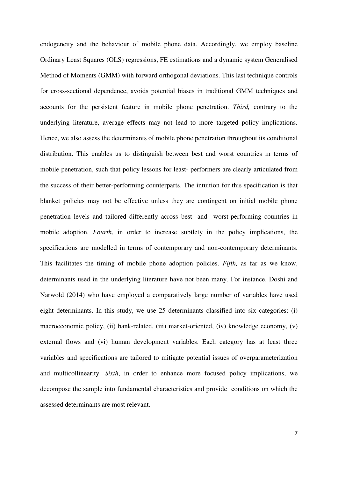endogeneity and the behaviour of mobile phone data. Accordingly, we employ baseline Ordinary Least Squares (OLS) regressions, FE estimations and a dynamic system Generalised Method of Moments (GMM) with forward orthogonal deviations. This last technique controls for cross-sectional dependence, avoids potential biases in traditional GMM techniques and accounts for the persistent feature in mobile phone penetration. *Third,* contrary to the underlying literature, average effects may not lead to more targeted policy implications. Hence, we also assess the determinants of mobile phone penetration throughout its conditional distribution. This enables us to distinguish between best and worst countries in terms of mobile penetration, such that policy lessons for least- performers are clearly articulated from the success of their better-performing counterparts. The intuition for this specification is that blanket policies may not be effective unless they are contingent on initial mobile phone penetration levels and tailored differently across best- and worst-performing countries in mobile adoption. *Fourth*, in order to increase subtlety in the policy implications, the specifications are modelled in terms of contemporary and non-contemporary determinants. This facilitates the timing of mobile phone adoption policies. *Fifth,* as far as we know, determinants used in the underlying literature have not been many. For instance, Doshi and Narwold (2014) who have employed a comparatively large number of variables have used eight determinants. In this study, we use 25 determinants classified into six categories: (i) macroeconomic policy, (ii) bank-related, (iii) market-oriented, (iv) knowledge economy, (v) external flows and (vi) human development variables. Each category has at least three variables and specifications are tailored to mitigate potential issues of overparameterization and multicollinearity. *Sixth*, in order to enhance more focused policy implications, we decompose the sample into fundamental characteristics and provide conditions on which the assessed determinants are most relevant.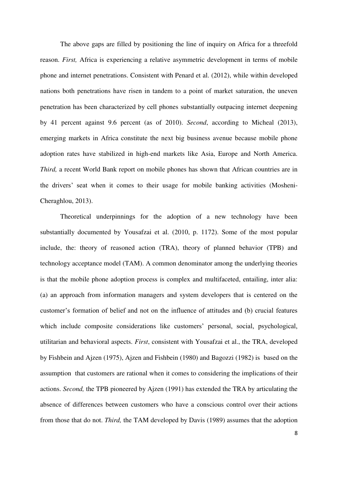The above gaps are filled by positioning the line of inquiry on Africa for a threefold reason. *First,* Africa is experiencing a relative asymmetric development in terms of mobile phone and internet penetrations. Consistent with Penard et al. (2012), while within developed nations both penetrations have risen in tandem to a point of market saturation, the uneven penetration has been characterized by cell phones substantially outpacing internet deepening by 41 percent against 9.6 percent (as of 2010). *Second*, according to Micheal (2013), emerging markets in Africa constitute the next big business avenue because mobile phone adoption rates have stabilized in high-end markets like Asia, Europe and North America. *Third,* a recent World Bank report on mobile phones has shown that African countries are in the drivers' seat when it comes to their usage for mobile banking activities (Mosheni-Cheraghlou, 2013).

Theoretical underpinnings for the adoption of a new technology have been substantially documented by Yousafzai et al. (2010, p. 1172). Some of the most popular include, the: theory of reasoned action (TRA), theory of planned behavior (TPB) and technology acceptance model (TAM). A common denominator among the underlying theories is that the mobile phone adoption process is complex and multifaceted, entailing, inter alia: (a) an approach from information managers and system developers that is centered on the customer's formation of belief and not on the influence of attitudes and (b) crucial features which include composite considerations like customers' personal, social, psychological, utilitarian and behavioral aspects. *First*, consistent with Yousafzai et al., the TRA, developed by Fishbein and Ajzen (1975), Ajzen and Fishbein (1980) and Bagozzi (1982) is based on the assumption that customers are rational when it comes to considering the implications of their actions. *Second,* the TPB pioneered by Ajzen (1991) has extended the TRA by articulating the absence of differences between customers who have a conscious control over their actions from those that do not. *Third,* the TAM developed by Davis (1989) assumes that the adoption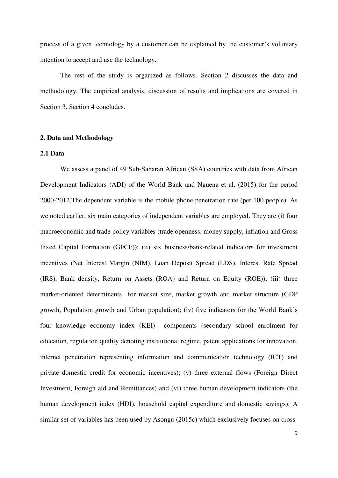process of a given technology by a customer can be explained by the customer's voluntary intention to accept and use the technology.

 The rest of the study is organized as follows. Section 2 discusses the data and methodology. The empirical analysis, discussion of results and implications are covered in Section 3. Section 4 concludes.

#### **2. Data and Methodology**

## **2.1 Data**

We assess a panel of 49 Sub-Saharan African (SSA) countries with data from African Development Indicators (ADI) of the World Bank and Nguena et al. (2015) for the period 2000-2012.The dependent variable is the mobile phone penetration rate (per 100 people). As we noted earlier, six main categories of independent variables are employed. They are (i) four macroeconomic and trade policy variables (trade openness, money supply, inflation and Gross Fixed Capital Formation (GFCF)); (ii) six business/bank-related indicators for investment incentives (Net Interest Margin (NIM), Loan Deposit Spread (LDS), Interest Rate Spread (IRS), Bank density, Return on Assets (ROA) and Return on Equity (ROE)); (iii) three market-oriented determinants for market size, market growth and market structure (GDP growth, Population growth and Urban population); (iv) five indicators for the World Bank's four knowledge economy index (KEI) components (secondary school enrolment for education, regulation quality denoting institutional regime, patent applications for innovation, internet penetration representing information and communication technology (ICT) and private domestic credit for economic incentives); (v) three external flows (Foreign Direct Investment, Foreign aid and Remittances) and (vi) three human development indicators (the human development index (HDI), household capital expenditure and domestic savings). A similar set of variables has been used by Asongu (2015c) which exclusively focuses on cross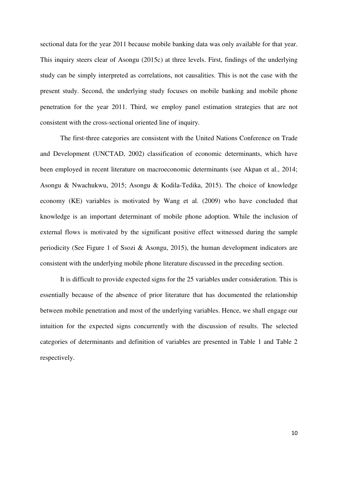sectional data for the year 2011 because mobile banking data was only available for that year. This inquiry steers clear of Asongu (2015c) at three levels. First, findings of the underlying study can be simply interpreted as correlations, not causalities. This is not the case with the present study. Second, the underlying study focuses on mobile banking and mobile phone penetration for the year 2011. Third, we employ panel estimation strategies that are not consistent with the cross-sectional oriented line of inquiry.

 The first-three categories are consistent with the United Nations Conference on Trade and Development (UNCTAD, 2002) classification of economic determinants, which have been employed in recent literature on macroeconomic determinants (see Akpan et al., 2014; Asongu & Nwachukwu, 2015; Asongu & Kodila-Tedika, 2015). The choice of knowledge economy (KE) variables is motivated by Wang et al. (2009) who have concluded that knowledge is an important determinant of mobile phone adoption. While the inclusion of external flows is motivated by the significant positive effect witnessed during the sample periodicity (See Figure 1 of Ssozi & Asongu, 2015), the human development indicators are consistent with the underlying mobile phone literature discussed in the preceding section.

 It is difficult to provide expected signs for the 25 variables under consideration. This is essentially because of the absence of prior literature that has documented the relationship between mobile penetration and most of the underlying variables. Hence, we shall engage our intuition for the expected signs concurrently with the discussion of results. The selected categories of determinants and definition of variables are presented in Table 1 and Table 2 respectively.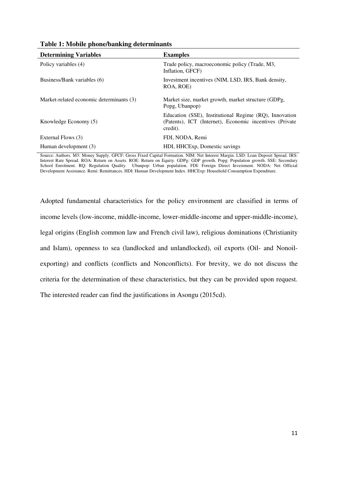| <b>Determining Variables</b>             | <b>Examples</b>                                                                                                               |
|------------------------------------------|-------------------------------------------------------------------------------------------------------------------------------|
| Policy variables (4)                     | Trade policy, macroeconomic policy (Trade, M3,<br>Inflation, GFCF)                                                            |
| Business/Bank variables (6)              | Investment incentives (NIM, LSD, IRS, Bank density,<br>ROA, ROE)                                                              |
| Market-related economic determinants (3) | Market size, market growth, market structure (GDPg,<br>Popg, Ubanpop)                                                         |
| Knowledge Economy (5)                    | Education (SSE), Institutional Regime (RQ), Innovation<br>(Patents), ICT (Internet), Economic incentives (Private<br>credit). |
| External Flows (3)                       | FDI, NODA, Remi                                                                                                               |
| Human development (3)                    | HDI, HHCExp, Domestic savings                                                                                                 |

**Table 1: Mobile phone/banking determinants** 

Source: Authors. M3: Money Supply. GFCF: Gross Fixed Capital Formation. NIM: Net Interest Margin. LSD: Loan Deposit Spread. IRS: Interest Rate Spread. ROA: Return on Assets. ROE: Return on Equity. GDPg: GDP growth. Popg: Population growth. SSE: Secondary School Enrolment. RQ: Regulation Quality. Ubanpop: Urban population. FDI: Foreign Direct Investment. NODA: Net Official Development Assistance. Remi: Remittances. HDI: Human Development Index. HHCExp: Household Consumption Expenditure.

Adopted fundamental characteristics for the policy environment are classified in terms of income levels (low-income, middle-income, lower-middle-income and upper-middle-income), legal origins (English common law and French civil law), religious dominations (Christianity and Islam), openness to sea (landlocked and unlandlocked), oil exports (Oil- and Nonoilexporting) and conflicts (conflicts and Nonconflicts). For brevity, we do not discuss the criteria for the determination of these characteristics, but they can be provided upon request. The interested reader can find the justifications in Asongu (2015cd).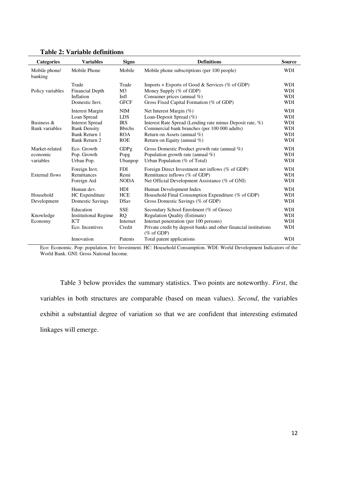| <b>Categories</b>                       | <b>Variables</b>                                                                                                                | <b>Signs</b>                                                                         | <b>Definitions</b>                                                                                                                                                                                                             | <b>Source</b>                                                                    |
|-----------------------------------------|---------------------------------------------------------------------------------------------------------------------------------|--------------------------------------------------------------------------------------|--------------------------------------------------------------------------------------------------------------------------------------------------------------------------------------------------------------------------------|----------------------------------------------------------------------------------|
| Mobile phone/<br>banking                | Mobile Phone                                                                                                                    | Mobile                                                                               | Mobile phone subscriptions (per 100 people)                                                                                                                                                                                    | <b>WDI</b>                                                                       |
| Policy variables                        | Trade<br><b>Financial Depth</b><br>Inflation<br>Domestic Invt.                                                                  | Trade<br>M <sub>3</sub><br>Infl<br><b>GFCF</b>                                       | Imports + Exports of Good & Services (% of GDP)<br>Money Supply (% of GDP)<br>Consumer prices (annual %)<br>Gross Fixed Capital Formation (% of GDP)                                                                           | <b>WDI</b><br><b>WDI</b><br><b>WDI</b><br><b>WDI</b>                             |
| Business $\&$<br><b>Bank</b> variables  | <b>Interest Margin</b><br>Loan Spread<br><b>Interest Spread</b><br><b>Bank Density</b><br>Bank Return 1<br><b>Bank Return 2</b> | <b>NIM</b><br><b>LDS</b><br><b>IRS</b><br><b>B</b> brchs<br><b>ROA</b><br><b>ROE</b> | Net Interest Margin (%)<br>Loan-Deposit Spread (%)<br>Interest Rate Spread (Lending rate minus Deposit rate, %)<br>Commercial bank branches (per 100 000 adults)<br>Return on Assets (annual %)<br>Return on Equity (annual %) | <b>WDI</b><br><b>WDI</b><br><b>WDI</b><br><b>WDI</b><br><b>WDI</b><br><b>WDI</b> |
| Market-related<br>economic<br>variables | Eco. Growth<br>Pop. Growth<br>Urban Pop.                                                                                        | GDPg<br>Popg<br>Ubanpop                                                              | Gross Domestic Product growth rate (annual $\%$ )<br>Population growth rate (annual $\%$ )<br>Urban Population (% of Total)                                                                                                    | <b>WDI</b><br><b>WDI</b><br><b>WDI</b>                                           |
| External flows                          | Foreign Invt.<br>Remittances<br>Foreign Aid                                                                                     | <b>FDI</b><br>Remi<br><b>NODA</b>                                                    | Foreign Direct Investment net inflows (% of GDP)<br>Remittance inflows (% of GDP)<br>Net Official Development Assistance (% of GNI)                                                                                            | <b>WDI</b><br><b>WDI</b><br><b>WDI</b>                                           |
| Household<br>Development                | Human dev.<br>HC Expenditure<br>Domestic Savings                                                                                | <b>HDI</b><br><b>HCE</b><br><b>DSav</b>                                              | Human Development Index<br>Household Final Consumption Expenditure (% of GDP)<br>Gross Domestic Savings (% of GDP)                                                                                                             | <b>WDI</b><br><b>WDI</b><br><b>WDI</b>                                           |
| Knowledge<br>Economy                    | Education<br><b>Institutional Regime</b><br><b>ICT</b><br>Eco. Incentives                                                       | <b>SSE</b><br><b>RQ</b><br>Internet<br>Credit                                        | Secondary School Enrolment (% of Gross)<br><b>Regulation Quality (Estimate)</b><br>Internet penetration (per 100 persons)<br>Private credit by deposit banks and other financial institutions<br>$(\%$ of GDP)                 | <b>WDI</b><br><b>WDI</b><br><b>WDI</b><br><b>WDI</b>                             |
|                                         | Innovation                                                                                                                      | Patents                                                                              | Total patent applications                                                                                                                                                                                                      | <b>WDI</b>                                                                       |

## **Table 2: Variable definitions**

Eco: Economic. Pop: population. Ivt: Investment. HC: Household Consumption. WDI: World Development Indicators of the World Bank. GNI: Gross National Income.

Table 3 below provides the summary statistics. Two points are noteworthy. *First*, the variables in both structures are comparable (based on mean values). *Second*, the variables exhibit a substantial degree of variation so that we are confident that interesting estimated linkages will emerge.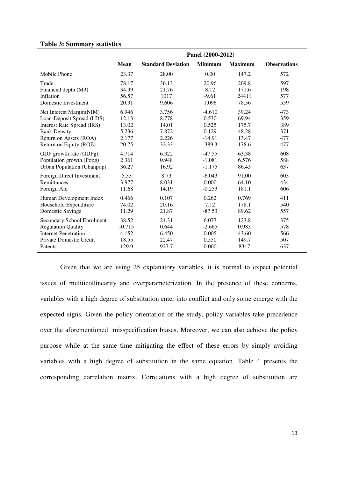# **Table 3: Summary statistics**

|                                   |             |                           | Panel (2000-2012) |                |                     |
|-----------------------------------|-------------|---------------------------|-------------------|----------------|---------------------|
|                                   | <b>Mean</b> | <b>Standard Deviation</b> | <b>Minimum</b>    | <b>Maximum</b> | <b>Observations</b> |
| Mobile Phone                      | 23.37       | 28.00                     | 0.00              | 147.2          | 572                 |
| Trade                             | 78.17       | 36.13                     | 20.96             | 209.8          | 597                 |
| Financial depth (M3)              | 34.39       | 21.76                     | 8.12              | 171.6          | 198                 |
| Inflation                         | 56.57       | 1017                      | $-9.61$           | 24411          | 577                 |
| Domestic Investment               | 20.31       | 9.606                     | 1.096             | 78.56          | 559                 |
| Net Interest Margin(NIM)          | 6.946       | 3.756                     | $-4.610$          | 39.24          | 473                 |
| Loan-Deposit Spread (LDS)         | 12.13       | 8.778                     | 0.530             | 69.94          | 359                 |
| <b>Interest Rate Spread (IRS)</b> | 13.02       | 14.01                     | 0.525             | 175.7          | 389                 |
| <b>Bank Density</b>               | 5.236       | 7.872                     | 0.129             | 48.28          | 371                 |
| Return on Assets (ROA)            | 2.177       | 2.226                     | $-14.91$          | 13.47          | 477                 |
| Return on Equity (ROE)            | 20.75       | 32.33                     | $-389.3$          | 178.6          | 477                 |
| GDP growth rate (GDPg)            | 4.714       | 6.322                     | $-47.55$          | 63.38          | 608                 |
| Population growth (Popg)          | 2.361       | 0.948                     | $-1.081$          | 6.576          | 588                 |
| Urban Population (Ubanpop)        | 36.27       | 16.92                     | $-1.175$          | 86.45          | 637                 |
| Foreign Direct Investment         | 5.33        | 8.73                      | $-6.043$          | 91.00          | 603                 |
| Remittances                       | 3.977       | 8.031                     | 0.000             | 64.10          | 434                 |
| Foreign Aid                       | 11.68       | 14.19                     | $-0.253$          | 181.1          | 606                 |
| Human Development Index           | 0.466       | 0.107                     | 0.262             | 0.769          | 411                 |
| Household Expenditure             | 74.02       | 20.16                     | 7.12              | 178.1          | 540                 |
| <b>Domestic Savings</b>           | 11.29       | 21.87                     | $-87.53$          | 89.62          | 557                 |
| Secondary School Enrolment        | 38.52       | 24.31                     | 6.077             | 123.8          | 375                 |
| <b>Regulation Quality</b>         | $-0.715$    | 0.644                     | $-2.665$          | 0.983          | 578                 |
| <b>Internet Penetration</b>       | 4.152       | 6.450                     | 0.005             | 43.60          | 566                 |
| Private Domestic Credit           | 18.55       | 22.47                     | 0.550             | 149.7          | 507                 |
| Patents                           | 129.9       | 927.7                     | 0.000             | 8317           | 637                 |

Given that we are using 25 explanatory variables, it is normal to expect potential issues of muliticollinearity and overparameterization. In the presence of these concerns, variables with a high degree of substitution enter into conflict and only some emerge with the expected signs. Given the policy orientation of the study, policy variables take precedence over the aforementioned misspecification biases. Moreover, we can also achieve the policy purpose while at the same time mitigating the effect of these errors by simply avoiding variables with a high degree of substitution in the same equation. Table 4 presents the corresponding correlation matrix. Correlations with a high degree of substitution are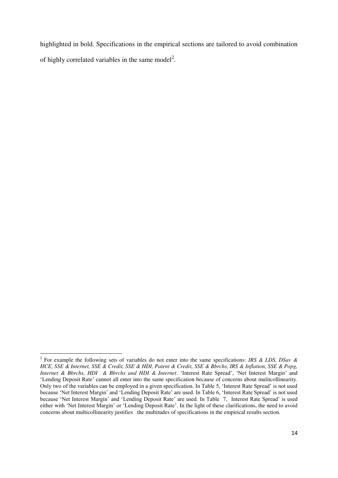highlighted in bold. Specifications in the empirical sections are tailored to avoid combination of highly correlated variables in the same model<sup>2</sup>.

 $\overline{a}$ 

<sup>2</sup> For example the following sets of variables do not enter into the same specifications: *IRS & LDS, DSav & HCE, SSE & Internet, SSE & Credit, SSE & HDI, Patent & Credit, SSE & Bbrchs, IRS & Inflation, SSE & Popg, Internet & Bbrchs, HDI & Bbrchs and HDI & Internet*. 'Interest Rate Spread', 'Net Interest Margin' and 'Lending Deposit Rate' cannot all enter into the same specification because of concerns about mulitcollinearity. Only two of the variables can be employed in a given specification. In Table 5, 'Interest Rate Spread' is not used because 'Net Interest Margin' and 'Lending Deposit Rate' are used. In Table 6, 'Interest Rate Spread' is not used because 'Net Interest Margin' and 'Lending Deposit Rate' are used. In Table 7, Interest Rate Spread' is used either with 'Net Interest Margin' or 'Lending Deposit Rate'. In the light of these clarifications, the need to avoid concerns about multicollinearity justifies the multitudes of specifications in the empirical results section.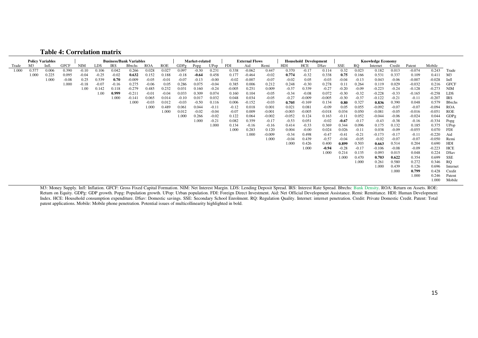| <b>Table 4: Correlation matrix</b> |  |  |
|------------------------------------|--|--|
|------------------------------------|--|--|

|       |                | <b>Policy Variables</b> |             | <b>Business/Bank Variables</b> |         |         | Market-related |         |         | <b>External Flows</b> |         | <b>Household Development</b> |          |          | <b>Knowledge Economy</b> |                                                                                                                                                                                 |          |          |             |         |          |         |          |          |               |
|-------|----------------|-------------------------|-------------|--------------------------------|---------|---------|----------------|---------|---------|-----------------------|---------|------------------------------|----------|----------|--------------------------|---------------------------------------------------------------------------------------------------------------------------------------------------------------------------------|----------|----------|-------------|---------|----------|---------|----------|----------|---------------|
| Trade | M <sub>3</sub> | Infl.                   | <b>GFCF</b> | <b>NIM</b>                     | LDS     | IRS     | <b>Bbrchs</b>  | ROA     | ROE     | GDPg                  | Popg    | UPop                         | FDI      | Aid      | Remi                     | HDI                                                                                                                                                                             | HCE      | DSav     | SSE         | RO.     | Internet | Credit  | Patent   | Mobile   |               |
| 1.000 | 0.577          | 0.006                   | 0.390       | $-0.10$                        | 0.106   | 0.042   | 0.266          | 0.028   | 0.027   | 0.097                 | $-0.30$ | 0.231                        | 0.338    | $-0.062$ | 0.447                    | 0.370                                                                                                                                                                           | $-0.17$  | 0.114    | 0.32        | 0.023   | 0.182    | 0.013   | $-0.074$ | 0.243    | Trade         |
|       | 1.000          | 0.225                   | 0.095       | $-0.04$                        | $-0.25$ | $-0.02$ | 0.632          | 0.152   | 0.188   | $-0.18$               | $-0.64$ | 0.458                        | 0.177    | $-0.464$ | $-0.02$                  | 0.774                                                                                                                                                                           | $-0.32$  | 0.338    | 0.75        | 0.166   | 0.531    | 0.337   | 0.109    | 0.411    | M3            |
|       |                | 1.000                   | $-0.08$     | 0.25                           | 0.539   | 0.70    | $-0.009$       | $-0.05$ | $-0.01$ | $-0.07$               | $-0.13$ | $-0.00$                      | $-0.02$  | $-0.007$ | $-0.07$                  | $-0.02$                                                                                                                                                                         | 0.05     | $-0.03$  | $-0.04$     | $-0.13$ | 0.043    | $-0.06$ | $-0.007$ | $-0.028$ | Infl          |
|       |                |                         | 1.000       | $-0.18$                        | $-0.07$ | $-0.16$ | 0.275          | $-0.06$ | 0.05    | 0.286                 | 0.075   | $-0.04$                      | 0.385    | 0.006    | 0.212                    | 0.248                                                                                                                                                                           | $-0.30$  | 0.278    | 0.11        | 0.264   | 0.119    | 0.029   | $-0.032$ | 0.216    | <b>GFCF</b>   |
|       |                |                         |             | 1.00                           | 0.142   | 0.118   | $-0.279$       | 0.485   | 0.232   | 0.031                 | 0.160   | $-0.24$                      | $-0.005$ | 0.251    | 0.009                    | $-0.37$                                                                                                                                                                         | 0.339    | $-0.27$  | $-0.20$     | $-0.09$ | $-0.223$ | $-0.24$ | $-0.128$ | $-0.273$ | <b>NIM</b>    |
|       |                |                         |             |                                | 1.00    | 0.999   | $-0.211$       | $-0.01$ | $-0.04$ | 0.033                 | 0.309   | 0.074                        | 0.160    | 0.104    | $-0.05$                  | $-0.34$                                                                                                                                                                         | $-0.08$  | 0.072    | $-0.30$     | $-0.32$ | $-0.228$ | $-0.33$ | $-0.165$ | $-0.258$ | LDS           |
|       |                |                         |             |                                |         | 1.000   | $-0.141$       | 0.065   | 0.014   | $-0.10$               | 0.017   | 0.032                        | 0.048    | 0.034    | $-0.05$                  | $-0.27$                                                                                                                                                                         | $-0.009$ | $-0.005$ | $-0.30$     | $-0.37$ | $-0.122$ | $-0.21$ | $-0.11$  | $-0.207$ | <b>IRS</b>    |
|       |                |                         |             |                                |         |         | 1.000          | $-0.03$ | 0.012   | $-0.03$               | $-0.50$ | 0.116                        | 0.006    | $-0.152$ | $-0.03$                  | 0.705                                                                                                                                                                           | $-0.169$ | 0.134    | $\bf{0.80}$ | 0.327   | 0.836    | 0.390   | 0.048    | 0.579    | <b>Bbrchs</b> |
|       |                |                         |             |                                |         |         |                | 1.000   | 0.489   | 0.061                 | 0.044   | $-0.11$                      | $-0.12$  | 0.018    | 0.001                    | 0.021                                                                                                                                                                           | 0.081    | $-0.09$  | 0.05        | 0.055   | $-0.092$ | $-0.07$ | $-0.07$  | $-0.094$ | <b>ROA</b>    |
|       |                |                         |             |                                |         |         |                |         | 1.000   | 0.012                 | $-0.02$ | $-0.04$                      | $-0.07$  | 0.009    | $-0.001$                 | $-0.003$                                                                                                                                                                        | $-0.005$ | $-0.018$ | 0.034       | 0.050   | $-0.081$ | $-0.05$ | $-0.016$ | $-0.051$ | <b>ROE</b>    |
|       |                |                         |             |                                |         |         |                |         |         | 1.000                 | 0.266   | $-0.02$                      | 0.122    | 0.064    | $-0.002$                 | $-0.052$                                                                                                                                                                        | 0.124    | 0.163    | $-0.11$     | 0.052   | $-0.044$ | $-0.06$ | $-0.024$ | 0.044    | GDPg          |
|       |                |                         |             |                                |         |         |                |         |         |                       | 1.000   | $-0.21$                      | 0.082    | 0.359    | $-0.17$                  | $-0.53$                                                                                                                                                                         | 0.051    | $-0.02$  | $-0.67$     | $-0.17$ | $-0.43$  | $-0.38$ | $-0.16$  | $-0.334$ | Popg          |
|       |                |                         |             |                                |         |         |                |         |         |                       |         | 1.000                        | 0.134    | $-0.16$  | $-0.16$                  | 0.414                                                                                                                                                                           | $-0.33$  | 0.369    | 0.344       | 0.096   | 0.175    | 0.132   | 0.185    | 0.375    | UPop          |
|       |                |                         |             |                                |         |         |                |         |         |                       |         |                              | 1.000    | 0.283    | 0.120                    | 0.004                                                                                                                                                                           | $-0.00$  | 0.024    | 0.026       | $-0.11$ | 0.038    | $-0.09$ | $-0.055$ | 0.070    | <b>FDI</b>    |
|       |                |                         |             |                                |         |         |                |         |         |                       |         |                              |          | 1.000    | $-0.009$                 | $-0.34$                                                                                                                                                                         | 0.498    | $-0.47$  | $-0.41$     | $-0.21$ | $-0.173$ | $-0.17$ | $-0.11$  | $-0.220$ | Aid           |
|       |                |                         |             |                                |         |         |                |         |         |                       |         |                              |          |          | 1.000                    | $-0.04$                                                                                                                                                                         | 0.439    | $-0.57$  | $-0.04$     | $-0.05$ | $-0.02$  | $-0.07$ | $-0.07$  | $-0.050$ | Remi          |
|       |                |                         |             |                                |         |         |                |         |         |                       |         |                              |          |          |                          | 1.000                                                                                                                                                                           | 0.426    | 0.400    | 0.899       | 0.503   | 0.663    | 0.514   | 0.204    | 0.690    | HDI           |
|       |                |                         |             |                                |         |         |                |         |         |                       |         |                              |          |          |                          |                                                                                                                                                                                 | 1.000    | $-0.94$  | $-0.28$     | $-0.17$ | $-0.106$ | $-0.08$ | $-0.09$  | $-0.223$ | <b>HCE</b>    |
|       |                |                         |             |                                |         |         |                |         |         |                       |         |                              |          |          |                          |                                                                                                                                                                                 |          | 1.000    | 0.214       | 0.135   | 0.093    | 0.015   | 0.048    | 0.224    | DSav          |
|       |                |                         |             |                                |         |         |                |         |         |                       |         |                              |          |          |                          |                                                                                                                                                                                 |          |          | 1.000       | 0.470   | 0.703    | 0.622   | 0.354    | 0.699    | SSE           |
|       |                |                         |             |                                |         |         |                |         |         |                       |         |                              |          |          |                          |                                                                                                                                                                                 |          |          |             | 1.000   | 0.261    | 0.580   | 0.272    | 0.346    | <b>RQ</b>     |
|       |                |                         |             |                                |         |         |                |         |         |                       |         |                              |          |          |                          |                                                                                                                                                                                 |          |          |             |         | 1.000    | 0.439   | 0.126    | 0.696    | Internet      |
|       |                |                         |             |                                |         |         |                |         |         |                       |         |                              |          |          |                          |                                                                                                                                                                                 |          |          |             |         |          | 1.000   | 0.799    | 0.428    | Credit        |
|       |                |                         |             |                                |         |         |                |         |         |                       |         |                              |          |          |                          |                                                                                                                                                                                 |          |          |             |         |          |         | 1.000    | 0.246    | Patent        |
|       |                |                         |             |                                |         |         |                |         |         |                       |         |                              |          |          |                          |                                                                                                                                                                                 |          |          |             |         |          |         |          | 1.000    | Mobile        |
|       |                |                         |             |                                |         |         |                |         |         |                       |         |                              |          |          |                          | M2. March Court, L.C. L.C. C.C.C. Corr Carry Eliza Carly Education MM March March T.D.C. L. Court Court D.C. Court Dat Court Date Dat Darly D.C. D.C. D.A. Dating on Acres DOE. |          |          |             |         |          |         |          |          |               |

M3: Money Supply. Infl: Inflation. GFCF: Gross Fixed Capital Formation. NIM: Net Interest Margin. LDS: Lending Deposit Spread. IRS: Interest Rate Spread. Bbrchs: Bank Density. ROA: Return on Assets. ROE: Return on Equity. GDPg: GDP growth. Popg: Population growth. UPop: Urban population. FDI: Foreign Direct Investment. Aid: Net Official Development Assistance. Remi: Remittance. HDI: Human Development Index. HCE: Household consumption expenditure. DSav: Domestic savings. SSE: Secondary School Enrolment. RQ: Regulation Quality. Internet: internet penetration. Credit: Private Domestic Credit. Patent: Total patent applications. Mobile: Mobile phone penetration. Potential issues of multicollinearity highlighted in bold.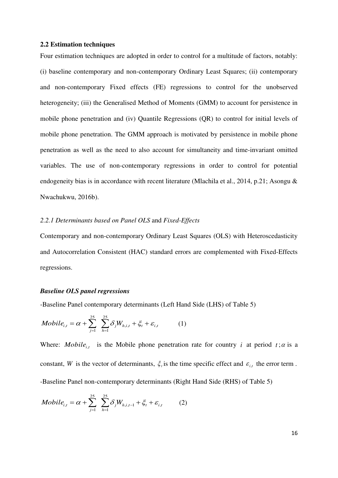#### **2.2 Estimation techniques**

Four estimation techniques are adopted in order to control for a multitude of factors, notably: (i) baseline contemporary and non-contemporary Ordinary Least Squares; (ii) contemporary and non-contemporary Fixed effects (FE) regressions to control for the unobserved heterogeneity; (iii) the Generalised Method of Moments (GMM) to account for persistence in mobile phone penetration and (iv) Quantile Regressions (QR) to control for initial levels of mobile phone penetration. The GMM approach is motivated by persistence in mobile phone penetration as well as the need to also account for simultaneity and time-invariant omitted variables. The use of non-contemporary regressions in order to control for potential endogeneity bias is in accordance with recent literature (Mlachila et al., 2014, p.21; Asongu & Nwachukwu, 2016b).

# *2.2.1 Determinants based on Panel OLS* and *Fixed-Effects*

Contemporary and non-contemporary Ordinary Least Squares (OLS) with Heteroscedasticity and Autocorrelation Consistent (HAC) standard errors are complemented with Fixed-Effects regressions.

#### *Baseline OLS panel regressions*

-Baseline Panel contemporary determinants (Left Hand Side (LHS) of Table 5)

*Mobile*<sub>i,t</sub> = 
$$
\alpha + \sum_{j=1}^{25} \sum_{h=1}^{25} \delta_j W_{h,i,t} + \xi_t + \varepsilon_{i,t}
$$
 (1)

Where: *Mobile<sub>i,t</sub>* is the Mobile phone penetration rate for country *i* at period  $t$ ;  $\alpha$  is a constant, *W* is the vector of determinants,  $\xi$ , is the time specific effect and  $\varepsilon$ <sub>i,t</sub> the error term. -Baseline Panel non-contemporary determinants (Right Hand Side (RHS) of Table 5)

*Mobile*<sub>i,t</sub> = 
$$
\alpha + \sum_{j=1}^{25} \sum_{h=1}^{25} \delta_j W_{h,i,t-1} + \xi_t + \varepsilon_{i,t}
$$
 (2)

16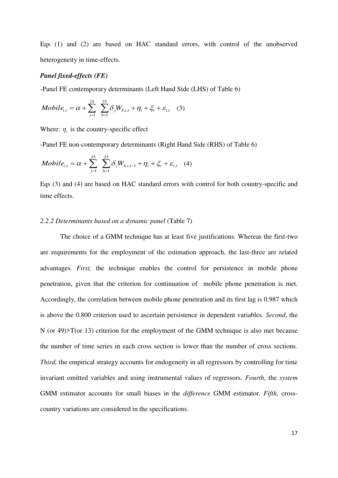Eqs (1) and (2) are based on HAC standard errors, with control of the unobserved heterogeneity in time-effects.

#### *Panel fixed-effects (FE)*

-Panel FE contemporary determinants (Left Hand Side (LHS) of Table 6)

*Mobile*<sub>i,t</sub> = 
$$
\alpha + \sum_{j=1}^{25} \sum_{h=1}^{25} \delta_j W_{h,i,t} + \eta_i + \xi_t + \varepsilon_{i,t}
$$
 (3)

Where:  $\eta_i$  is the country-specific effect

-Panel FE non-contemporary determinants (Right Hand Side (RHS) of Table 6)

*Mobile*<sub>i,t</sub> = 
$$
\alpha + \sum_{j=1}^{25} \sum_{h=1}^{25} \delta_j W_{h,i,t-1} + \eta_i + \xi_t + \varepsilon_{i,t}
$$
 (4)

Eqs (3) and (4) are based on HAC standard errors with control for both country-specific and time effects.

#### *2.2.2 Determinants based on a dynamic panel* (Table 7)

The choice of a GMM technique has at least five justifications. Whereas the first-two are requirements for the employment of the estimation approach, the last-three are related advantages. *First,* the technique enables the control for persistence in mobile phone penetration, given that the criterion for continuation of mobile phone penetration is met. Accordingly, the correlation between mobile phone penetration and its first lag is 0.987 which is above the 0.800 criterion used to ascertain persistence in dependent variables. *Second*, the N (or 49)>T(or 13) criterion for the employment of the GMM technique is also met because the number of time series in each cross section is lower than the number of cross sections. *Third,* the empirical strategy accounts for endogeneity in all regressors by controlling for time invariant omitted variables and using instrumental values of regressors. *Fourth,* the *system* GMM estimator accounts for small biases in the *difference* GMM estimator. *Fifth,* crosscountry variations are considered in the specifications.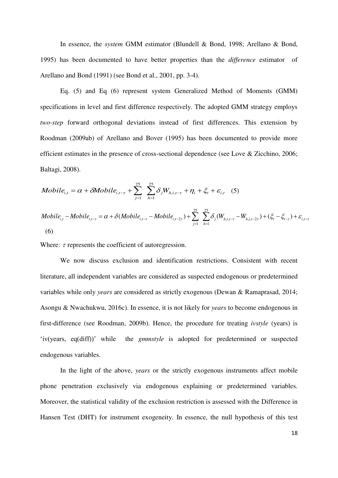In essence, the *system* GMM estimator (Blundell & Bond, 1998; Arellano & Bond, 1995) has been documented to have better properties than the *difference* estimator of Arellano and Bond (1991) (see Bond et al., 2001, pp. 3-4).

Eq. (5) and Eq (6) represent system Generalized Method of Moments (GMM) specifications in level and first difference respectively. The adopted GMM strategy employs *two-step* forward orthogonal deviations instead of first differences. This extension by Roodman (2009ab) of Arellano and Bover (1995) has been documented to provide more efficient estimates in the presence of cross-sectional dependence (see Love & Zicchino, 2006; Baltagi, 2008).

$$
Mobile_{i,t} = \alpha + \delta Mobile_{i,t-\tau} + \sum_{j=1}^{25} \sum_{h=1}^{25} \delta_j W_{h,i,t-\tau} + \eta_i + \xi_t + \varepsilon_{i,t} \quad (5)
$$

*Mobile*<sub>i,t</sub> – Mobile<sub>i,t-\tau</sub> = 
$$
\alpha + \delta(Mobile_{i,t-\tau} - Mobile_{i,t-2\tau}) + \sum_{j=1}^{25} \sum_{h=1}^{25} \delta_j(W_{h,i,t-\tau} - W_{h,i,t-2\tau}) + (\xi_t - \xi_{t-\tau}) + \varepsilon_{i,t-\tau}
$$
  
(6)

Where:  $\tau$  represents the coefficient of autoregression.

We now discuss exclusion and identification restrictions. Consistent with recent literature, all independent variables are considered as suspected endogenous or predetermined variables while only *years* are considered as strictly exogenous (Dewan & Ramaprasad, 2014; Asongu & Nwachukwu, 2016c). In essence, it is not likely for *years* to become endogenous in first-difference (see Roodman, 2009b). Hence, the procedure for treating *ivstyle* (years) is 'iv(years, eq(diff))' while the *gmmstyle* is adopted for predetermined or suspected endogenous variables.

 In the light of the above, *years* or the strictly exogenous instruments affect mobile phone penetration exclusively via endogenous explaining or predetermined variables. Moreover, the statistical validity of the exclusion restriction is assessed with the Difference in Hansen Test (DHT) for instrument exogeneity. In essence, the null hypothesis of this test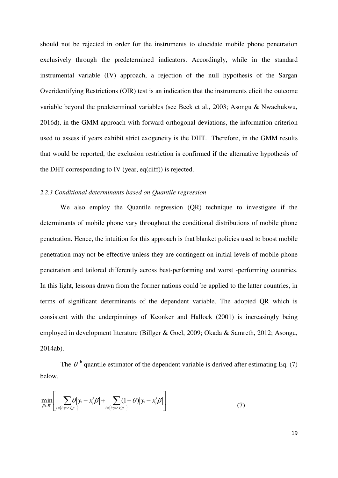should not be rejected in order for the instruments to elucidate mobile phone penetration exclusively through the predetermined indicators. Accordingly, while in the standard instrumental variable (IV) approach, a rejection of the null hypothesis of the Sargan Overidentifying Restrictions (OIR) test is an indication that the instruments elicit the outcome variable beyond the predetermined variables (see Beck et al., 2003; Asongu & Nwachukwu, 2016d), in the GMM approach with forward orthogonal deviations, the information criterion used to assess if years exhibit strict exogeneity is the DHT. Therefore, in the GMM results that would be reported, the exclusion restriction is confirmed if the alternative hypothesis of the DHT corresponding to IV (year, eq(diff)) is rejected.

# *2.2.3 Conditional determinants based on Quantile regression*

We also employ the Quantile regression (QR) technique to investigate if the determinants of mobile phone vary throughout the conditional distributions of mobile phone penetration. Hence, the intuition for this approach is that blanket policies used to boost mobile penetration may not be effective unless they are contingent on initial levels of mobile phone penetration and tailored differently across best-performing and worst -performing countries. In this light, lessons drawn from the former nations could be applied to the latter countries, in terms of significant determinants of the dependent variable. The adopted QR which is consistent with the underpinnings of Keonker and Hallock (2001) is increasingly being employed in development literature (Billger & Goel, 2009; Okada & Samreth, 2012; Asongu, 2014ab).

The  $\theta$ <sup>th</sup> quantile estimator of the dependent variable is derived after estimating Eq. (7) below.

$$
\min_{\beta \in R^k} \left[ \sum_{i \in \{i: y_i \ge x'_i, \beta^i\}} \theta \middle| y_i - x'_i \beta \middle| + \sum_{i \in \{i: y_i \ge x'_i, \beta^i\}} (1 - \theta) \middle| y_i - x'_i \beta \middle| \right] \tag{7}
$$

19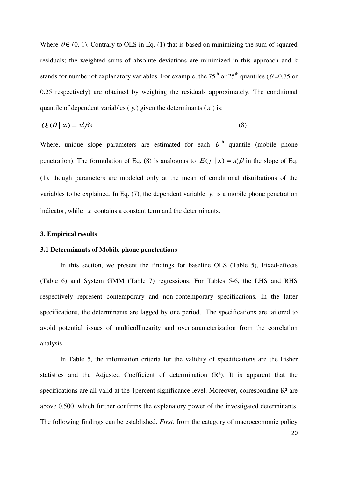Where  $\theta \in (0, 1)$ . Contrary to OLS in Eq. (1) that is based on minimizing the sum of squared residuals; the weighted sums of absolute deviations are minimized in this approach and k stands for number of explanatory variables. For example, the 75<sup>th</sup> or 25<sup>th</sup> quantiles ( $\theta$ =0.75 or 0.25 respectively) are obtained by weighing the residuals approximately. The conditional quantile of dependent variables ( $y_i$ ) given the determinants ( $x_i$ ) is:

$$
Q_{y}(\theta \mid x_{i}) = x'_{i}\beta_{\theta}
$$
\n(8)

Where, unique slope parameters are estimated for each  $\theta^{\text{th}}$  quantile (mobile phone penetration). The formulation of Eq. (8) is analogous to  $E(y | x) = x_i' \beta$  in the slope of Eq. (1), though parameters are modeled only at the mean of conditional distributions of the variables to be explained. In Eq. (7), the dependent variable  $y_i$  is a mobile phone penetration indicator, while *x<sub>i</sub>* contains a constant term and the determinants.

#### **3. Empirical results**

#### **3.1 Determinants of Mobile phone penetrations**

 In this section, we present the findings for baseline OLS (Table 5), Fixed-effects (Table 6) and System GMM (Table 7) regressions. For Tables 5-6, the LHS and RHS respectively represent contemporary and non-contemporary specifications. In the latter specifications, the determinants are lagged by one period. The specifications are tailored to avoid potential issues of multicollinearity and overparameterization from the correlation analysis.

 In Table 5, the information criteria for the validity of specifications are the Fisher statistics and the Adjusted Coefficient of determination (R²). It is apparent that the specifications are all valid at the 1 percent significance level. Moreover, corresponding  $\mathbb{R}^2$  are above 0.500, which further confirms the explanatory power of the investigated determinants. The following findings can be established. *First,* from the category of macroeconomic policy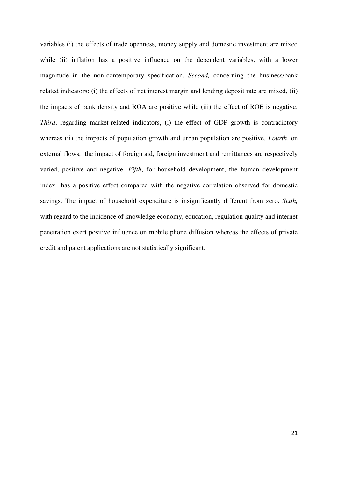variables (i) the effects of trade openness, money supply and domestic investment are mixed while (ii) inflation has a positive influence on the dependent variables, with a lower magnitude in the non-contemporary specification. *Second,* concerning the business/bank related indicators: (i) the effects of net interest margin and lending deposit rate are mixed, (ii) the impacts of bank density and ROA are positive while (iii) the effect of ROE is negative. *Third*, regarding market-related indicators, (i) the effect of GDP growth is contradictory whereas (ii) the impacts of population growth and urban population are positive. *Fourth*, on external flows, the impact of foreign aid, foreign investment and remittances are respectively varied, positive and negative. *Fifth*, for household development, the human development index has a positive effect compared with the negative correlation observed for domestic savings. The impact of household expenditure is insignificantly different from zero. *Sixth,* with regard to the incidence of knowledge economy, education, regulation quality and internet penetration exert positive influence on mobile phone diffusion whereas the effects of private credit and patent applications are not statistically significant.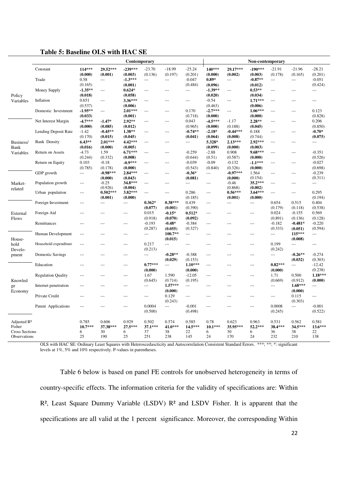#### **Table 5: Baseline OLS with HAC SE**

|                         |                           |                          |                | Contemporary   |                          |                          |                          |                      |                | Non-contemporary |                |                          |                |
|-------------------------|---------------------------|--------------------------|----------------|----------------|--------------------------|--------------------------|--------------------------|----------------------|----------------|------------------|----------------|--------------------------|----------------|
|                         | Constant                  | 114***                   | 29.52***       | $-239***$      | $-23.70$                 | $-18.99$                 | $-25.24$                 | 140***               | 29.17***       | $-190***$        | $-21.91$       | $-21.96$                 | $-28.21$       |
|                         |                           | (0.000)                  | (0.001)        | (0.003)        | (0.136)                  | (0.197)                  | (0.201)                  | (0.000)              | (0.002)        | (0.003)          | (0.178)        | (0.165)                  | (0.201)        |
|                         | Trade                     | 0.58                     | $\overline{a}$ | $-1.3***$      | $\overline{a}$           | $\overline{a}$           | $-0.047$                 | $0.89*$              | $\overline{a}$ | $-0.87**$        | $\overline{a}$ | $---$                    | $-0.051$       |
|                         |                           | (0.165)                  |                | (0.001)        |                          |                          | (0.484)                  | (0.096)              |                | (0.012)          |                |                          | (0.424)        |
|                         | Money Supply              | $-1.35**$                | $\overline{a}$ | $0.624*$       | ---                      | ---                      | ---                      | $-1.39**$            | $\overline{a}$ | $0.53**$         | $---$          |                          | $---$          |
| Policy                  |                           | (0.018)                  |                | (0.058)        |                          |                          |                          | (0.020)              |                | (0.034)          |                |                          |                |
| Variables               | Inflation                 | 0.651                    | $\overline{a}$ | 3.36***        | $\overline{\phantom{a}}$ | $\overline{a}$           | $\overline{\phantom{a}}$ | $-0.54$              | ---            | $1.71***$        | ---            | ---                      | ---            |
|                         |                           | (0.537)                  |                | (0.006)        |                          |                          |                          | (0.463)              |                | (0.006)          |                |                          |                |
|                         | Domestic Investment       | $-1.95**$                | $---$          | $2.01***$      | $---$                    | ---                      | 0.170                    | $-2.7***$            | ---            | $1.06***$        | $---$          | ---                      | 0.123          |
|                         |                           | (0.033)                  |                | (0.001)        |                          |                          | (0.718)                  | (0.000)              |                | (0.000)          |                |                          | (0.828)        |
|                         | Net Interest Margin       | $-4.7***$                | $-1.47*$       | $2.92**$       | $-$                      | $\overline{a}$           | 0.043                    | $-4.5***$            | $-1.17$        | 2.28**           | $---$          | $---$                    | 0.206          |
|                         |                           | (0.000)                  | (0.085)        | (0.012)        |                          |                          | (0.965)                  | (0.000)              | (0.188)        | (0.045)          |                |                          | (0.850)        |
|                         | Lending Deposit Rate      | $-1.42$                  | $-0.45**$      | 1.38**         | $---$                    | ---                      | $-0.74**$                | $-2.18*$             | $-0.44***$     | 0.188            | $---$          | ---                      | $-0.70*$       |
|                         |                           | (0.170)                  | (0.015)        | (0.045)        |                          |                          | (0.041)                  | (0.064)              | (0.008)        | (0.744)          |                |                          | (0.075)        |
| Business/               | <b>Bank Density</b>       | $6.43**$                 | $2.01***$      | 4.42***        | $\overline{\phantom{a}}$ | $\overline{\phantom{a}}$ | ---                      | 5.328*               | $2.13***$      | 2.92***          | $\overline{a}$ | $---$                    | $\overline{a}$ |
| Bank                    |                           | (0.016)                  | (0.000)        | (0.005)        |                          |                          |                          | (0.099)              | (0.000)        | (0.003)          |                |                          |                |
| Variables               | Return on Assets          | $-4.73$                  | 1.59           | $6.71***$      | $---$                    | $\overline{a}$           | $-0.259$                 | $-2.88$              | 0.908          | $9.68***$        | $---$          | $\overline{a}$           | $-0.351$       |
|                         |                           | (0.244)                  | (0.332)        | (0.008)        |                          |                          | (0.644)                  | (0.51)               | (0.587)        | (0.000)          |                |                          | (0.526)        |
|                         | Return on Equity          | 0.103                    | $-0.18$        | $-0.9***$      | ---                      | ---                      | $-0.039$                 | $-0.09$              | $-0.132$       | $-1.1***$        | $---$          | ---                      | $-0.027$       |
|                         |                           | (0.785)                  | (0.178)        | (0.000)        |                          |                          | (0.543)                  | (0.840)              | (0.326)        | (0.000)          |                |                          | (0.698)        |
|                         | GDP growth                | $\overline{a}$           | $-0.98***$     | $2.84***$      | $\overline{a}$           | $\overline{a}$           | $-0.36*$                 | $\overline{a}$       | $-0.97***$     | 1.564            | $---$          | $---$                    | $-0.239$       |
|                         |                           |                          | (0.000)        | (0.043)        |                          |                          | (0.081)                  |                      | (0.000)        | (0.154)          |                |                          | (0.311)        |
| Market-                 | Population growth         | ---                      | $-0.25$        | 34.8***        | $---$                    | $\overline{a}$           | $\overline{a}$           | $\overline{a}$       | $-0.46$        | 35.2***          | $---$          | $---$                    | $\overline{a}$ |
| related                 |                           |                          | (0.926)        | (0.004)        |                          |                          |                          |                      | (0.868)        | (0.002)          |                |                          |                |
|                         | Urban population          | $---$                    | $0.502***$     | 3.82***        | $---$                    | $---$                    | 0.286                    | $\scriptstyle\cdots$ | $0.56***$      | $3.64***$        | $\overline{a}$ | $---$                    | 0.295          |
|                         |                           |                          | (0.001)        | (0.000)        |                          |                          | (0.185)                  |                      | (0.001)        | (0.000)          |                |                          | (0.194)        |
|                         | Foreign Investment        | $---$                    | $---$          | ---            | $0.362*$                 | $0.38***$                | 0.439                    | $---$                | $---$          | $\overline{a}$   | 0.654          | 0.515                    | 0.404          |
|                         |                           |                          |                |                | (0.077)                  | (0.001)                  | (0.390)                  |                      |                |                  | (0.179)        | (0.118)                  | (0.538)        |
| External                | Foreign Aid               | ---                      |                | $\overline{a}$ | 0.015                    | $-0.15*$                 | $0.512*$                 | $---$                | ---            | $\overline{a}$   | 0.024          | $-0.155$                 | 0.569          |
| <b>Flows</b>            |                           |                          |                |                | (0.918)                  | (0.070)                  | (0.092)                  |                      |                |                  | (0.891)        | (0.136)                  | (0.128)        |
|                         | Remittances               | ---                      | ---            | $---$          | $-0.193$                 | $-0.48*$                 | $-0.384$                 | $\overline{a}$       | ---            | $---$            | $-0.182$       | $-0.481*$                | $-0.220$       |
|                         |                           |                          |                |                | (0.287)                  | (0.055)                  | (0.327)                  |                      |                |                  | (0.333)        | (0.051)                  | (0.594)        |
|                         | Human Development         | $---$                    | $---$          | $---$          | ---                      | 100.7**                  | $\overline{a}$           | $---$                | ---            | $---$            | $---$          | 115***                   | ---            |
| House-                  |                           |                          |                |                |                          | (0.015)                  |                          |                      |                |                  |                | (0.008)                  |                |
| hold                    | Household expenditure     |                          |                | ---            | 0.217                    | $\overline{a}$           | $---$                    |                      |                | ---              | 0.199          | $\overline{a}$           | ---            |
| Develo-                 |                           |                          |                |                | (0.213)                  |                          |                          |                      |                |                  | (0.242)        |                          |                |
| pment                   | <b>Domestic Savings</b>   | $\overline{\phantom{a}}$ |                | $---$          | $---$                    | $-0.28**$                | $-0.388$                 | $\overline{a}$       | $---$          | $---$            | $---$          | $-0.26**$                | $-0.274$       |
|                         |                           |                          |                |                |                          | (0.029)                  | (0.153)                  |                      |                |                  |                | (0.032)                  | (0.303)        |
|                         | Education                 | ---                      | $---$          | $\overline{a}$ | $0.77***$                | $\overline{a}$           | $1.10***$                | $---$                | $---$          | $\overline{a}$   | $0.82***$      | $\overline{\phantom{a}}$ | $-12.42$       |
|                         |                           |                          |                |                | (0.000)                  |                          | (0.000)                  |                      |                |                  | (0.000)        |                          | (0.238)        |
|                         | <b>Regulation Quality</b> | ---                      | ---            | $---$          | 1.67                     | 1.590                    | $-12.05$                 | $\overline{a}$       | ---            | $---$            | 1.71           | 0.500                    | 1.18***        |
| Knowled                 |                           |                          |                |                | (0.645)                  | (0.714)                  | (0.195)                  |                      |                |                  | (0.669)        | (0.912)                  | (0.000)        |
| ge                      | Internet penetration      | $-$ --                   |                | $\overline{a}$ | $---$                    | $1.57***$                | $\overline{a}$           | $---$                | ---            | $---$            | $---$          | $1.68***$                | ---            |
| Economy                 |                           |                          |                |                |                          | (0.000)                  |                          |                      |                |                  |                | (0.000)                  |                |
|                         | Private Credit            |                          |                | $---$          | $---$                    | 0.129                    | $---$                    |                      |                | ---              | $---$          | 0.115                    | $---$          |
|                         |                           |                          |                |                |                          | (0.243)                  |                          |                      |                |                  |                | (0.303)                  |                |
|                         | Patent Applications       |                          |                | ---            | 0.0004                   | $\overline{a}$           | $-0.001$                 | ---                  |                | ---              | 0.0008         | $\overline{\phantom{a}}$ | $-0.001$       |
|                         |                           |                          |                |                | (0.500)                  |                          | (0.498)                  |                      |                |                  | (0.245)        |                          | (0.522)        |
|                         |                           |                          |                |                |                          |                          |                          |                      |                |                  |                |                          |                |
| Adjusted R <sup>2</sup> |                           | 0.785                    | 0.606          | 0.929          | 0.502                    | 0.574                    | 0.585                    | 0.78                 | 0.623          | 0.963            | 0.531          | 0.562                    | 0.581          |
| Fisher                  |                           | $10.7***$                | 37.38***       | 27.5***        | 37.1***                  | 41.0***                  | 14.5***                  | $10.1***$            | 35.95***       | 52.2***          | 38.4***        | 34.5***                  | 13.6***        |
| <b>Cross Sections</b>   |                           | 6                        | 30             | 6              | 37                       | 38                       | 22                       | 6                    | 30             | 6                | 36             | 38                       | 22             |
| Observations            |                           | 25                       | 190            | 25             | 251                      | 238                      | 145                      | 24                   | 170            | 24               | 232            | 210                      | 138            |

OLS with HAC SE: Ordinary Least Squares with Heteroscedascticity and Autocorrelation Consistent Standard Errors. \*\*\*; \*\*; \*: significant levels at 1%, 5% and 10% respectively. P-values in parentheses.

 Table 6 below is based on panel FE controls for unobserved heterogeneity in terms of country-specific effects. The information criteria for the validity of specifications are: Within  $R<sup>2</sup>$ , Least Square Dummy Variable (LSDV)  $R<sup>2</sup>$  and LSDV Fisher. It is apparent that the specifications are all valid at the 1 percent significance. Moreover, the corresponding Within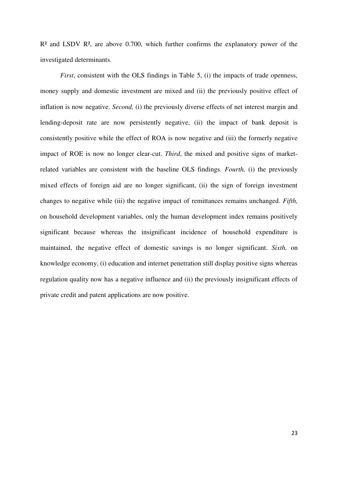$R<sup>2</sup>$  and LSDV  $R<sup>2</sup>$ , are above 0.700, which further confirms the explanatory power of the investigated determinants.

*First*, consistent with the OLS findings in Table 5, (i) the impacts of trade openness, money supply and domestic investment are mixed and (ii) the previously positive effect of inflation is now negative. *Second,* (i) the previously diverse effects of net interest margin and lending-deposit rate are now persistently negative, (ii) the impact of bank deposit is consistently positive while the effect of ROA is now negative and (iii) the formerly negative impact of ROE is now no longer clear-cut. *Third*, the mixed and positive signs of marketrelated variables are consistent with the baseline OLS findings. *Fourth,* (i) the previously mixed effects of foreign aid are no longer significant, (ii) the sign of foreign investment changes to negative while (iii) the negative impact of remittances remains unchanged. *Fifth,* on household development variables, only the human development index remains positively significant because whereas the insignificant incidence of household expenditure is maintained, the negative effect of domestic savings is no longer significant. *Sixth,* on knowledge economy, (i) education and internet penetration still display positive signs whereas regulation quality now has a negative influence and (ii) the previously insignificant effects of private credit and patent applications are now positive.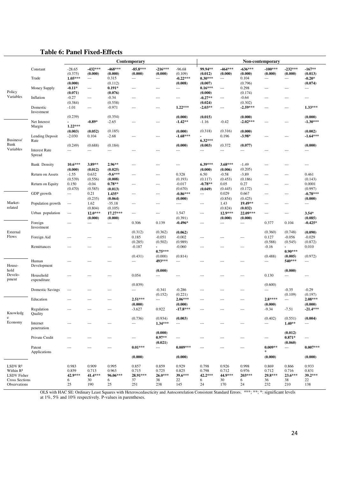## **Table 6: Panel Fixed-Effects**

|                                       |                                |                          |                          |                | Contemporary             |                   |                          |                          |                          |                 | Non-contemporary         |                   |                          |
|---------------------------------------|--------------------------------|--------------------------|--------------------------|----------------|--------------------------|-------------------|--------------------------|--------------------------|--------------------------|-----------------|--------------------------|-------------------|--------------------------|
|                                       | Constant                       | $-28.65$                 | $-432***$                | $-468***$      | $-85.8***$               | $-216***$         | $-96.68$                 | 99.94**                  | $-464***$                | $-636***$       | $-100***$                | $-232***$         | $-167**$                 |
|                                       |                                | (0.375)                  | (0.000)                  | (0.000)        | (0.000)                  | (0.000)           | (0.109)                  | (0.012)                  | (0.000)                  | (0.000)         | (0.000)                  | (0.000)           | (0.013)                  |
|                                       | Trade                          | $1.05***$                | $---$                    | 0.315          | $\cdots$                 | $\overline{a}$    | $-0.22***$               | $0.30***$                | $\hspace{0.05cm} \ldots$ | 0.104           | $---$                    |                   | $-0.20*$                 |
|                                       |                                | (0.000)                  |                          | (0.112)        |                          |                   | (0.008)                  | (0.007)                  |                          | (0.796)         |                          |                   | (0.074)                  |
|                                       | Money Supply                   | $-0.11*$                 | $\cdots$                 | $0.191*$       | $\cdots$                 | $\cdots$          | $\cdots$                 | $0.16***$                | $\cdots$                 | 0.298           | $\cdots$                 | ---               | $---$                    |
| Policy                                |                                | (0.071)                  |                          | (0.076)        |                          |                   |                          | (0.000)                  |                          | (0.174)         |                          |                   |                          |
| Variables                             | Inflation                      | $-0.27$                  | $---$                    | $-0.34$        | $---$                    | ---               | $\sim$ $\sim$ $\sim$     | $-0.27**$                | $\overline{\phantom{a}}$ | $-0.64$         | $---$                    | ---               | $---$                    |
|                                       |                                | (0.384)                  |                          | (0.558)        |                          |                   |                          | (0.024)                  |                          | (0.302)         |                          |                   |                          |
|                                       | Domestic                       | $-1.01$                  | $\hspace{0.05cm} \ldots$ | $-0.971$       | $---$                    | $---$             | $1.22***$                | $-2.03**$                | $\hspace{0.05cm} \ldots$ | $-2.59***$      | $\overline{\phantom{a}}$ | ---               | $1.33***$                |
|                                       | Investment                     |                          |                          |                |                          |                   |                          |                          |                          |                 |                          |                   |                          |
|                                       |                                | (0.239)                  |                          | (0.354)        |                          |                   | (0.000)                  | (0.015)                  |                          | (0.000)         |                          |                   | (0.000)                  |
|                                       | Net Interest                   |                          | $-0.89*$                 | $-2.65$        | $---$                    | $---$             | $-1.42**$                | $-1.16$                  | $-0.42$                  | $-2.02***$      | $\overline{a}$           | ---               | $-1.30***$               |
|                                       | Margin                         | $1.22***$                |                          |                |                          |                   |                          |                          |                          |                 |                          |                   |                          |
|                                       |                                | (0.003)                  | (0.052)                  | (0.185)        |                          |                   | (0.000)                  | (0.318)                  | (0.316)                  | (0.000)         |                          |                   | (0.002)                  |
|                                       | Lending Deposit                | $-2.030$                 | 0.104                    | $-2.68$        | $\overline{\phantom{a}}$ | $\cdots$          | $-1.68***$               |                          | 0.196                    | $-3.98*$        | $---$                    | ---               | $-1.64***$               |
| Business/                             | Rate                           |                          |                          |                |                          |                   |                          | $6.32***$                |                          |                 |                          |                   |                          |
| Bank<br>Variables                     |                                | (0.249)                  | (0.688)                  | (0.184)        |                          |                   | (0.000)                  | (0.003)                  | (0.372)                  | (0.077)         |                          |                   | (0.000)                  |
|                                       | <b>Interest Rate</b><br>Spread | ---                      | $---$                    | ---            | $---$                    | $\overline{a}$    | $\cdots$                 | $\sim$ $\sim$ $\sim$     | ---                      | ---             | $---$                    | $\overline{a}$    | $---$                    |
|                                       |                                |                          |                          |                |                          |                   |                          |                          |                          |                 |                          |                   |                          |
|                                       | <b>Bank Density</b>            | $10.6***$                | 3.89**                   | $2.96**$       | $\overline{a}$           | $---$             | $\overline{\phantom{a}}$ | $6.39***$                | $3.68***$                | $-1.49$         | $\overline{a}$           | ---               | $\cdots$                 |
|                                       |                                | (0.000)                  | (0.012)                  | (0.025)        |                          |                   |                          | (0.000)                  | (0.006)                  | (0.205)         |                          |                   |                          |
|                                       | Return on Assets               | $-1.55$                  | 0.632                    | $-9.6***$      | $---$                    | $- - -$           | 0.328                    | 6.50                     | $-0.58$                  | $-3.89$         | $---$                    | ---               | 0.461                    |
|                                       |                                | (0.539)                  | (0.556)                  | (0.008)        |                          |                   | (0.193)                  | (0.117)                  | (0.453)                  | (0.186)         |                          |                   | (0.143)                  |
|                                       | Return on Equity               | 0.150                    | $-0.04$                  | $0.78**$       | $---$                    | $\overline{a}$    | $-0.017$                 | $-0.78**$                | 0.05                     | 0.27            | $\cdots$                 |                   | 0.0001                   |
|                                       |                                |                          | (0.585)                  |                |                          |                   | (0.670)                  | (0.049)                  | (0.445)                  |                 |                          | ---               | (0.997)                  |
|                                       | GDP growth                     | (0.470)                  |                          | (0.013)        |                          |                   |                          |                          | 0.029                    | (0.172)         |                          |                   |                          |
|                                       |                                | $\overline{\phantom{a}}$ | 0.21                     | $1.435*$       | $---$                    | $\overline{a}$    | $-0.86***$               | $\sim$ $\sim$ $\sim$     |                          | 0.667           | $\cdots$                 | ---               | $-0.78***$               |
|                                       |                                |                          | (0.235)                  | (0.064)        |                          |                   | (0.000)                  |                          | (0.854)                  | (0.425)         |                          |                   | (0.000)                  |
| Market-                               | Population growth              | $\overline{\phantom{a}}$ | 1.62                     | $-35.18$       | $---$                    | $---$             | $\cdots$                 | $\hspace{0.05cm} \cdots$ | 1.43                     | 19.49**         | $---$                    | ---               | ---                      |
| related                               |                                |                          | (0.804)                  | (0.105)        |                          |                   |                          |                          | (0.824)                  | (0.032)         |                          |                   |                          |
|                                       | Urban population               | $\sim$ $\sim$ $\sim$     | $12.0***$                | $17.27***$     | $\cdots$                 | $\overline{a}$    | 1.547                    | $---$                    | 12.9***                  | 22.09***        | $\overline{a}$           | ---               | $3.54*$                  |
|                                       |                                |                          | (0.000)                  | (0.000)        |                          |                   | (0.391)                  |                          | (0.000)                  | (0.000)         |                          |                   | (0.085)                  |
|                                       | Foreign<br>Investment          | $\sim$                   | $---$                    | $\overline{a}$ | 0.306                    | 0.139             | $-0.496*$                | $- - -$                  | $\overline{a}$           | $\overline{a}$  | 0.377                    | 0.104             | $-0.425*$                |
| External                              |                                |                          |                          |                | (0.312)                  | (0.362)           | (0.062)                  |                          |                          |                 | (0.360)                  | (0.748)           | (0.090)                  |
| Flows                                 |                                |                          |                          |                | 0.185                    | $-0.051$          | $-0.002$                 |                          |                          |                 | 0.127                    | $-0.056$          | $-0.029$                 |
|                                       | Foreign Aid                    | $- - -$                  | $---$                    | ---            |                          |                   |                          | $\overline{a}$           | ---                      | ---             |                          |                   |                          |
|                                       |                                |                          |                          |                | (0.285)                  | (0.502)           | (0.989)                  |                          |                          |                 | (0.588)                  | (0.545)           | (0.872)                  |
|                                       | Remittances                    | $-$                      | $---$                    | $---$          | $-0.187$                 | $0.75***$         | $-0.060$                 | $- - -$                  | ---                      | ---             | $-0.16$                  | $0.90***$         | 0.010                    |
|                                       |                                |                          |                          |                |                          |                   |                          |                          |                          |                 |                          |                   |                          |
|                                       |                                |                          |                          |                | (0.431)                  | (0.000)<br>493*** | (0.814)                  |                          |                          |                 | (0.488)                  | (0.005)<br>540*** | (0.972)                  |
|                                       | Human                          | ---                      | $---$                    | ---            | $\overline{a}$           |                   | $\overline{a}$           | $- - -$                  | ---                      | ---             | $\overline{a}$           |                   | $\overline{a}$           |
| House-<br>hold                        | Development                    |                          |                          |                |                          |                   |                          |                          |                          |                 |                          |                   |                          |
|                                       |                                |                          |                          |                |                          | (0.000)           |                          |                          |                          |                 |                          | (0.000)           |                          |
| Develo-<br>pment                      | Household<br>expenditure       | ---                      | ---                      | ---            | 0.054                    | $---$             | $\overline{a}$           | $---$                    | ---                      | ---             | 0.130                    | ---               | $\cdots$                 |
|                                       |                                |                          |                          |                | (0.839)                  |                   |                          |                          |                          |                 | (0.600)                  |                   |                          |
|                                       | Domestic Savings               | $\overline{a}$           |                          | ---            | $\overline{a}$           | $-0.341$          | $-0.286$                 | $- - -$                  |                          | ---             | $\cdots$                 | $-0.35$           | $-0.29$                  |
|                                       |                                |                          |                          |                |                          | (0.152)           | (0.221)                  |                          |                          |                 |                          | (0.109)           | (0.197)                  |
|                                       | Education                      |                          |                          |                | $2.51***$                | $\sim$            | $2.06***$                |                          |                          |                 | $2.8***$                 | $\overline{a}$    | $2.08***$                |
|                                       |                                | $---$                    | ---                      | ---            | (0.000)                  |                   | (0.000)                  | $---$                    | ---                      | ---             | (0.000)                  |                   |                          |
|                                       |                                |                          |                          |                |                          |                   |                          |                          |                          |                 |                          |                   | (0.000)<br>$-21.4***$    |
| Knowledg                              | Regulation<br>Quality          | ---                      | ---                      | $\cdots$       | $-3.627$                 | 0.922             | $-17.8***$               | $\cdots$                 | $-\cdots$                | ---             | $-9.34$                  | $-7.51$           |                          |
| e                                     |                                |                          |                          |                | (0.736)                  | (0.934)           | (0.003)                  |                          |                          |                 | (0.402)                  | (0.551)           | (0.004)                  |
| Economy                               | Internet                       | ---                      | ---                      | ---            | $\overline{\phantom{a}}$ | $1.34***$         | $\cdots$                 | $\cdots$                 | ---                      | ---             | $\cdots$                 | $1.40**$          | $\cdots$                 |
|                                       | penetration                    |                          |                          |                |                          |                   |                          |                          |                          |                 |                          |                   |                          |
|                                       |                                |                          |                          |                |                          | (0.000)           |                          |                          |                          |                 |                          | (0.012)           |                          |
|                                       | Private Credit                 | $- - -$                  | $---$                    | $---$          | $\sim$                   | $0.97**$          | $\cdots$                 | $---$                    | $---$                    | ---             | ---                      | $0.871*$          | $\overline{\phantom{a}}$ |
|                                       |                                |                          |                          |                |                          | (0.021)           |                          |                          |                          |                 |                          | (0.060)           |                          |
|                                       | Patent                         | ---                      | ---                      | ---            | $0.01***$                | $\cdots$          | $0.009***$               | $\overline{a}$           | ---                      | ---             | $0.009**$                | ---               | $0.007***$               |
|                                       | Applications                   |                          |                          |                |                          |                   |                          |                          |                          |                 | $\ast$                   |                   |                          |
|                                       |                                |                          |                          |                | (0.000)                  |                   | (0.000)                  |                          |                          |                 | (0.000)                  |                   | (0.000)                  |
|                                       |                                |                          |                          |                |                          |                   |                          |                          |                          |                 |                          |                   |                          |
| LSDV R <sup>2</sup>                   |                                | 0.983                    | 0.909                    | 0.995          | 0.857                    | 0.859             | 0.929                    | 0.798                    | 0.926                    | 0.998           | 0.869                    | 0.866             | 0.933                    |
| Within R <sup>2</sup>                 |                                | 0.859<br>42.9***         | 0.713<br>41.4***         | 0.963          | 0.715<br>28.91***        | 0.725             | 0.825<br>39.6***         | 0.798<br>42.2***         | 0.712<br>44.9***         | 0.976<br>203*** | 0.712<br>29.8***         | 0.716<br>23.6***  | 0.831<br>39.2***         |
| LSDV Fisher                           |                                | 6                        | 30                       | 96.06***       | 37                       | $26.0***$<br>38   | 22                       |                          | 30                       | 6               | 36                       | 38                | 22                       |
|                                       |                                |                          |                          | 6              |                          |                   |                          | 6                        |                          |                 |                          |                   |                          |
| <b>Cross Sections</b><br>Observations |                                | 25                       | 190                      | 25             | 251                      | 238               | 145                      | 24                       | 170                      | 24              | 232                      | 210               | 138                      |

OLS with HAC SE: Ordinary Least Squares with Heteroscedascticity and Autocorrelation Consistent Standard Errors. \*\*\*; \*\*; \*: significant levels at 1%, 5% and 10% respectively. P-values in parentheses.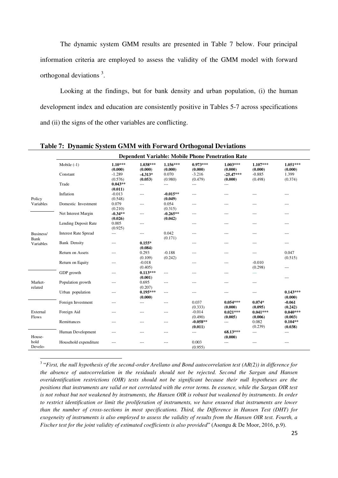The dynamic system GMM results are presented in Table 7 below. Four principal information criteria are employed to assess the validity of the GMM model with forward orthogonal deviations<sup>3</sup>.

Looking at the findings, but for bank density and urban population, (i) the human development index and education are consistently positive in Tables 5-7 across specifications and (ii) the signs of the other variables are conflicting.

|                    |                             |                      |                       |                       | <b>Dependent Variable: Mobile Phone Penetration Rate</b> |                        |                       |                       |
|--------------------|-----------------------------|----------------------|-----------------------|-----------------------|----------------------------------------------------------|------------------------|-----------------------|-----------------------|
|                    | Mobile $(-1)$               | $1.10***$<br>(0.000) | $1.038***$<br>(0.000) | $1.156***$<br>(0.000) | $0.973***$<br>(0.000)                                    | $1.003***$<br>(0.000)  | $1.107***$<br>(0.000) | $1.051***$<br>(0.000) |
|                    | Constant                    | $-1.289$<br>(0.576)  | $-4.313*$<br>(0.053)  | 0.070<br>(0.980)      | $-3.216$<br>(0.479)                                      | $-25.47***$<br>(0.000) | $-0.885$<br>(0.498)   | 1.399<br>(0.374)      |
|                    | Trade                       | $0.043**$<br>(0.011) | $---$                 | $---$                 | $---$                                                    | $---$                  |                       |                       |
| Policy             | Inflation                   | $-0.013$<br>(0.548)  | $---$                 | $-0.015**$<br>(0.049) | $---$                                                    | ---                    | ---                   | $---$                 |
| Variables          | Domestic Investment         | 0.079<br>(0.210)     | $---$                 | 0.054<br>(0.315)      | ---                                                      | ---                    | ---                   | ---                   |
|                    | Net Interest Margin         | $-0.34**$<br>(0.026) | $---$                 | $-0.265**$<br>(0.042) | $---$                                                    | ---                    | ---                   | $---$                 |
|                    | Lending Deposit Rate        | 0.005<br>(0.925)     | $---$                 |                       | $---$                                                    | ---                    | ---                   | $---$                 |
| Business/<br>Bank  | <b>Interest Rate Spread</b> | ---                  | $---$                 | 0.042<br>(0.171)      | ---                                                      | ---                    | ---                   | ---                   |
| Variables          | <b>Bank Density</b>         | $---$                | $0.155*$<br>(0.084)   |                       | $---$                                                    | $---$                  | ---                   | $---$                 |
|                    | Return on Assets            | $---$                | 0.293<br>(0.109)      | $-0.188$<br>(0.242)   | $---$                                                    | $---$                  | ---                   | 0.047<br>(0.515)      |
|                    | Return on Equity            | $---$                | $-0.018$<br>(0.405)   |                       | ---                                                      | ---                    | $-0.010$<br>(0.298)   | ---                   |
|                    | GDP growth                  | $---$                | $0.113***$<br>(0.001) | $---$                 | ---                                                      | ---                    | ---                   | $---$                 |
| Market-<br>related | Population growth           | $---$                | 0.695<br>(0.207)      | $---$                 | $---$                                                    | ---                    | ---                   |                       |
|                    | Urban population            | $---$                | $0.195***$<br>(0.000) | $---$                 | $---$                                                    | ---                    | ---                   | $0.143***$<br>(0.000) |
|                    | Foreign Investment          | $---$                | $---$                 | $---$                 | 0.037<br>(0.333)                                         | $0.054***$<br>(0.000)  | $0.074*$<br>(0.095)   | $-0.061$<br>(0.242)   |
| External<br>Flows  | Foreign Aid                 | $---$                | $---$                 | $---$                 | $-0.014$<br>(0.490)                                      | $0.021***$<br>(0.005)  | $0.041***$<br>(0.006) | $0.040***$<br>(0.003) |
|                    | Remittances                 | $---$                | $---$                 | $---$                 | $-0.058**$<br>(0.011)                                    | $---$                  | 0.082<br>(0.239)      | $0.104**$<br>(0.038)  |
| House-             | Human Development           | ---                  | ---                   | $---$                 | $---$                                                    | 68.13***<br>(0.000)    | ---                   | $---$                 |
| hold<br>Develo-    | Household expenditure       |                      | $---$                 |                       | 0.003<br>(0.955)                                         | $---$                  | $---$                 | $---$                 |

**Table 7: Dynamic System GMM with Forward Orthogonal Deviations** 

3 "*First, the null hypothesis of the second-order Arellano and Bond autocorrelation test (AR(2)) in difference for the absence of autocorrelation in the residuals should not be rejected. Second the Sargan and Hansen overidentification restrictions (OIR) tests should not be significant because their null hypotheses are the positions that instruments are valid or not correlated with the error terms. In essence, while the Sargan OIR test is not robust but not weakened by instruments, the Hansen OIR is robust but weakened by instruments. In order to restrict identification or limit the proliferation of instruments, we have ensured that instruments are lower than the number of cross-sections in most specifications. Third, the Difference in Hansen Test (DHT) for exogeneity of instruments is also employed to assess the validity of results from the Hansen OIR test. Fourth, a Fischer test for the joint validity of estimated coefficients is also provided*" (Asongu & De Moor, 2016, p.9).

 $\overline{a}$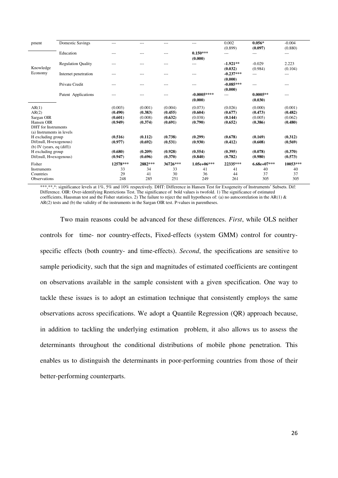| pment                        | <b>Domestic Savings</b>   | $---$    | $---$   |          | ---           | 0.002       | $0.056*$      | $-0.004$ |
|------------------------------|---------------------------|----------|---------|----------|---------------|-------------|---------------|----------|
|                              |                           |          |         |          |               | (0.899)     | (0.097)       | (0.880)  |
|                              | Education                 | ---      | ---     |          | $0.150***$    | $---$       |               | ---      |
|                              |                           |          |         |          | (0.000)       |             |               |          |
|                              | <b>Regulation Quality</b> |          |         |          | $---$         | $-1.921**$  | $-0.029$      | 2.223    |
| Knowledge                    |                           |          |         |          |               | (0.032)     | (0.984)       | (0.104)  |
| Economy                      | Internet penetration      |          | $---$   |          | ---           | $-0.237***$ | ---           | ---      |
|                              |                           |          |         |          |               | (0.000)     |               |          |
|                              | Private Credit            | $---$    | $---$   |          | ---           | $-0.085***$ | $---$         | $---$    |
|                              |                           |          |         |          |               | (0.000)     |               |          |
|                              | Patent Applications       |          | ---     |          | $-0.0005***$  | ---         | $0.0005**$    | $---$    |
|                              |                           |          |         |          | (0.000)       |             | (0.030)       |          |
| AR(1)                        |                           | (0.003)  | (0.001) | (0.004)  | (0.073)       | (0.026)     | (0.000)       | (0.001)  |
| AR(2)                        |                           | (0.490)  | (0.383) | (0.455)  | (0.604)       | (0.677)     | (0.473)       | (0.482)  |
| Sargan OIR                   |                           | (0.601)  | (0.008) | (0.632)  | (0.038)       | (0.144)     | (0.005)       | (0.062)  |
| Hansen OIR                   |                           | (0.949)  | (0.374) | (0.691)  | (0.790)       | (0.652)     | (0.386)       | (0.480)  |
| <b>DHT</b> for Instruments   |                           |          |         |          |               |             |               |          |
| (a) Instruments in levels    |                           |          |         |          |               |             |               |          |
| H excluding group            |                           | (0.516)  | (0.112) | (0.738)  | (0.299)       | (0.678)     | (0.169)       | (0.312)  |
| Dif(null, H=exogenous)       |                           | (0.977)  | (0.692) | (0.531)  | (0.930)       | (0.412)     | (0.608)       | (0.569)  |
| (b) IV (years, eq $(diff)$ ) |                           |          |         |          |               |             |               |          |
| H excluding group            |                           | (0.680)  | (0.209) | (0.928)  | (0.554)       | (0.395)     | (0.078)       | (0.370)  |
| Dif(null, H=exogenous)       |                           | (0.947)  | (0.696) | (0.370)  | (0.840)       | (0.782)     | (0.980)       | (0.573)  |
| Fisher                       |                           | 12578*** | 2882*** | 36726*** | $1.05e+06***$ | 22335***    | $6.68e+07***$ | 10053*** |
| <b>Instruments</b>           |                           | 33       | 34      | 33       | 41            | 41          | 40            | 40       |
| Countries                    |                           | 29       | 41      | 30       | 36            | 44          | 37            | 37       |
| <b>Observations</b>          |                           | 248      | 285     | 251      | 249           | 261         | 305           | 305      |
|                              |                           |          |         |          |               |             |               |          |

\*\*\*\*\*,\*: significance levels at 1%, 5% and 10% respectively. DHT: Difference in Hansen Test for Exogeneity of Instruments' Subsets. Dif: Difference. OIR: Over-identifying Restrictions Test. The significance of bold values is twofold. 1) The significance of estimated coefficients, Hausman test and the Fisher statistics. 2) The failure to reject the null hypotheses of: (a) no autocorrelation in the AR(1) & AR(2) tests and (b) the validity of the instruments in the Sargan OIR test. P-values in parentheses.

Two main reasons could be advanced for these differences. *First*, while OLS neither controls for time- nor country-effects, Fixed-effects (system GMM) control for countryspecific effects (both country- and time-effects). *Second*, the specifications are sensitive to sample periodicity, such that the sign and magnitudes of estimated coefficients are contingent on observations available in the sample consistent with a given specification. One way to tackle these issues is to adopt an estimation technique that consistently employs the same observations across specifications. We adopt a Quantile Regression (QR) approach because, in addition to tackling the underlying estimation problem, it also allows us to assess the determinants throughout the conditional distributions of mobile phone penetration. This enables us to distinguish the determinants in poor-performing countries from those of their better-performing counterparts.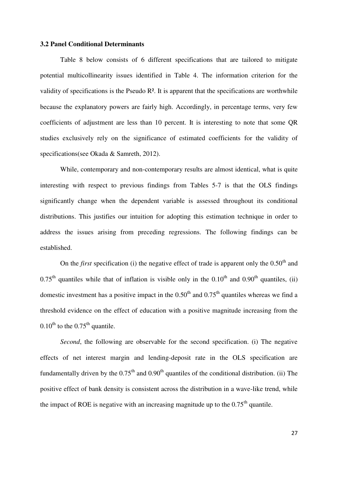#### **3.2 Panel Conditional Determinants**

 Table 8 below consists of 6 different specifications that are tailored to mitigate potential multicollinearity issues identified in Table 4. The information criterion for the validity of specifications is the Pseudo R². It is apparent that the specifications are worthwhile because the explanatory powers are fairly high. Accordingly, in percentage terms, very few coefficients of adjustment are less than 10 percent. It is interesting to note that some QR studies exclusively rely on the significance of estimated coefficients for the validity of specifications(see Okada & Samreth, 2012).

While, contemporary and non-contemporary results are almost identical, what is quite interesting with respect to previous findings from Tables 5-7 is that the OLS findings significantly change when the dependent variable is assessed throughout its conditional distributions. This justifies our intuition for adopting this estimation technique in order to address the issues arising from preceding regressions. The following findings can be established.

On the *first* specification (i) the negative effect of trade is apparent only the  $0.50<sup>th</sup>$  and  $0.75<sup>th</sup>$  quantiles while that of inflation is visible only in the  $0.10<sup>th</sup>$  and  $0.90<sup>th</sup>$  quantiles, (ii) domestic investment has a positive impact in the  $0.50<sup>th</sup>$  and  $0.75<sup>th</sup>$  quantiles whereas we find a threshold evidence on the effect of education with a positive magnitude increasing from the  $0.10^{th}$  to the  $0.75^{th}$  quantile.

*Second*, the following are observable for the second specification. (i) The negative effects of net interest margin and lending-deposit rate in the OLS specification are fundamentally driven by the  $0.75<sup>th</sup>$  and  $0.90<sup>th</sup>$  quantiles of the conditional distribution. (ii) The positive effect of bank density is consistent across the distribution in a wave-like trend, while the impact of ROE is negative with an increasing magnitude up to the  $0.75<sup>th</sup>$  quantile.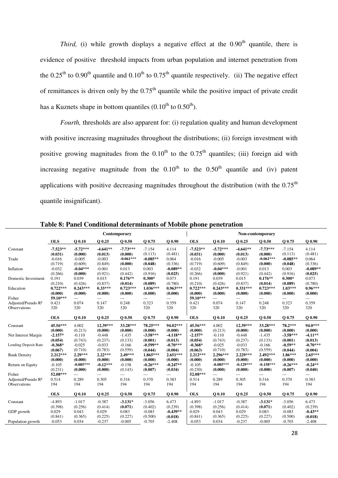*Third,* (i) while growth displays a negative effect at the  $0.90<sup>th</sup>$  quantile, there is evidence of positive threshold impacts from urban population and internet penetration from the 0.25<sup>th</sup> to 0.90<sup>th</sup> quantile and 0.10<sup>th</sup> to 0.75<sup>th</sup> quantile respectively. (ii) The negative effect of remittances is driven only by the  $0.75<sup>th</sup>$  quantile while the positive impact of private credit has a Kuznets shape in bottom quantiles  $(0.10^{th}$  to  $0.50^{th})$ .

*Fourth*, thresholds are also apparent for: (i) regulation quality and human development with positive increasing magnitudes throughout the distributions; (ii) foreign investment with positive growing magnitudes from the  $0.10<sup>th</sup>$  to the  $0.75<sup>th</sup>$  quantiles; (iii) foreign aid with increasing negative magnitude from the  $0.10<sup>th</sup>$  to the  $0.50<sup>th</sup>$  quantile and (iv) patent applications with positive decreasing magnitudes throughout the distribution (with the  $0.75<sup>th</sup>$ quantile insignificant).

|                                |            |             |            | Contemporary |            |            | Non-contemporary |             |             |             |            |            |
|--------------------------------|------------|-------------|------------|--------------|------------|------------|------------------|-------------|-------------|-------------|------------|------------|
|                                | <b>OLS</b> | $Q$ 0.10    | O 0.25     | 00.50        | O 0.75     | $O$ 0.90   | <b>OLS</b>       | $Q$ 0.10    | Q 0.25      | $Q$ 0.50    | O 0.75     | $Q$ 0.90   |
| Constant                       | $-7.523**$ | $-5.72***$  | $-4.641**$ | $-7.73***$   | $-7.154$   | 4.114      | $-7.523**$       | $-5.72***$  | $-4.641**$  | $-7.73***$  | $-7.154$   | 4.114      |
|                                | (0.031)    | (0.000)     | (0.013)    | (0.000)      | (0.113)    | (0.481)    | (0.031)          | (0.000)     | (0.013)     | (0.000)     | (0.113)    | (0.481)    |
| Trade                          | $-0.016$   | $-0.005$    | $-0.003$   | $-0.061***$  | $-0.085**$ | 0.064      | $-0.016$         | $-0.005$    | $-0.003$    | $-0.061***$ | $-0.085**$ | 0.064      |
|                                | (0.719)    | (0.609)     | (0.849)    | (0.000)      | (0.048)    | (0.336)    | (0.719)          | (0.609)     | (0.849)     | (0.000)     | (0.048)    | (0.336)    |
| Inflation                      | $-0.032$   | $-0.04***$  | $-0.001$   | 0.013        | 0.003      | $-0.089**$ | $-0.032$         | $-0.04***$  | $-0.001$    | 0.013       | 0.003      | $-0.089**$ |
|                                | (0.266)    | (0.000)     | (0.921)    | (0.442)      | (0.916)    | (0.025)    | (0.266)          | (0.000)     | (0.921)     | (0.442)     | (0.916)    | (0.025)    |
| Domestic Investment            | 0.191      | 0.039       | 0.015      | $0.176**$    | $0.300*$   | 0.073      | 0.191            | 0.039       | 0.015       | $0.176**$   | $0.300*$   | 0.073      |
|                                | (0.210)    | (0.426)     | (0.837)    | (0.014)      | (0.089)    | (0.780)    | (0.210)          | (0.426)     | (0.837)     | (0.014)     | (0.089)    | (0.780)    |
| Education                      | $0.722***$ | $0.243***$  | $0.33***$  | $0.723***$   | $1.036***$ | $0.963***$ | $0.722***$       | $0.243***$  | $0.331***$  | $0.723***$  | $1.03***$  | $0.96***$  |
|                                | (0.000)    | (0.000)     | (0.000)    | (0.000)      | (0.000)    | (0.000)    | (0.000)          | (0.000)     | (0.000)     | (0.000)     | (0.000)    | (0.000)    |
| Fisher                         | 59.10***   | ---         | $---$      | ---          | ---        | $---$      | 59.10***         | ---         | ---         | ---         | ---        | $---$      |
| Adjusted/Pseudo R <sup>2</sup> | 0.421      | 0.074       | 0.147      | 0.248        | 0.323      | 0.359      | 0.421            | 0.074       | 0.147       | 0.248       | 0.323      | 0.359      |
| Observations                   | 320        | 320         | 320        | 320          | 320        | 320        | 320              | 320         | 320         | 320         | 320        | 320        |
|                                | <b>OLS</b> | $Q$ 0.10    | Q 0.25     | $Q$ 0.50     | Q 0.75     | $Q$ 0.90   | <b>OLS</b>       | $Q$ 0.10    | Q 0.25      | $Q$ 0.50    | Q 0.75     | $Q$ 0.90   |
| Constant                       | 45.56***   | 4.002       | 12.39***   | 33.28***     | 78.25***   | 94.02***   | 45.56***         | 4.002       | 12.39***    | 33.28***    | 78.2***    | 94.0***    |
|                                | (0.000)    | (0.213)     | (0.000)    | (0.000)      | (0.000)    | (0.000)    | (0.000)          | (0.213)     | (0.000)     | (0.000)     | (0.000)    | (0.000)    |
| Net Interest Margin            | $-2.157*$  | $-0.110$    | $-0.448$   | $-1.435$     | $-3.58***$ | $-4.118**$ | $-2.157*$        | $-0.110$    | $-0.448$    | $-1.435$    | $-3.58***$ | $-4.11**$  |
|                                | (0.054)    | (0.743)     | (0.237)    | (0.133)      | (0.001)    | (0.013)    | (0.054)          | (0.743)     | (0.237)     | (0.133)     | (0.001)    | (0.013)    |
| Lending Deposit Rate           | $-0.368*$  | $-0.025$    | $-0.033$   | $-0.166$     | $-0.599**$ | $-0.70***$ | $-0.368*$        | $-0.025$    | $-0.033$    | $-0.166$    | $-0.59**$  | $-0.70***$ |
|                                | (0.067)    | (0.710)     | (0.783)    | (0.559)      | (0.044)    | (0.004)    | (0.063)          | (0.710)     | (0.783)     | (0.559)     | (0.044)    | (0.004)    |
| <b>Bank Density</b>            | $2.212***$ | 2.29***     | $2.22***$  | 2.49***      | 1.865***   | $2.651***$ | $2.212***$       | $2.296***$  | 2.229***    | 2.492***    | $1.86***$  | $2.65***$  |
|                                | (0.000)    | (0.000)     | (0.000)    | (0.000)      | (0.000)    | (0.000)    | (0.000)          | (0.000)     | (0.000)     | (0.000)     | (0.000)    | (0.000)    |
| Return on Equity               | $-0.105$   | $-0.085***$ | $-0.12***$ | $-0.158$     | $-0.26***$ | $-0.247**$ | $-0.105$         | $-0.085***$ | $-0.129***$ | $-0.158***$ | $-0.26***$ | $-0.24**$  |
|                                | (0.231)    | (0.000)     | (0.000)    | (0.143)      | (0.007)    | (0.034)    | (0.230)          | (0.000)     | (0.000)     | (0.000)     | (0.007)    | (0.040)    |
| Fisher                         | 52.08***   | $---$       | $---$      | $---$        | ---        | ---        | 52.08***         |             | ---         | ---         | $---$      | $---$      |
| Adjusted/Pseudo R <sup>2</sup> | 0.514      | 0.289       | 0.305      | 0.316        | 0.370      | 0.383      | 0.514            | 0.289       | 0.305       | 0.316       | 0.370      | 0.383      |
| Observations                   | 194        | 194         | 194        | 194          | 194        | 194        | 194              | 194         | 194         | 194         | 194        | 194        |
|                                | <b>OLS</b> | $Q$ 0.10    | Q 0.25     | $Q$ 0.50     | O 0.75     | $Q$ 0.90   | <b>OLS</b>       | $Q$ 0.10    | Q 0.25      | $Q$ 0.50    | O 0.75     | $Q$ 0.90   |
| Constant                       | $-4.893$   | $-1.017$    | $-0.387$   | $-3.131*$    | $-3.056$   | 6.473      | $-4.893$         | $-1.017$    | $-0.387$    | $-3.131*$   | $-3.056$   | 6.473      |
|                                | (0.398)    | (0.256)     | (0.414)    | (0.071)      | (0.402)    | (0.239)    | (0.398)          | (0.256)     | (0.414)     | (0.071)     | (0.402)    | (0.239)    |
| GDP growth                     | 0.029      | 0.043       | 0.029      | 0.083        | $-0.083$   | $-0.439**$ | 0.029            | 0.043       | 0.029       | 0.083       | $-0.083$   | $-0.43**$  |
|                                | (0.841)    | (0.365)     | (0.225)    | (0.227)      | (0.500)    | (0.018)    | (0.841)          | (0.365)     | (0.225)     | (0.227)     | (0.500)    | (0.018)    |
| Population growth              | $-0.053$   | 0.034       | $-0.237$   | $-0.005$     | $-0.703$   | $-2.408$   | $-0.053$         | 0.034       | $-0.237$    | $-0.005$    | $-0.703$   | $-2.408$   |

**Table 8: Panel Conditional determinants of Mobile phone penetration**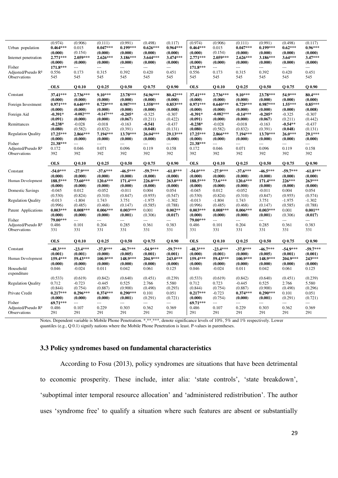| Urban population<br>Internet penetration | (0.974)<br>$0.464***$<br>(0.000)<br>2.771*** | (0.906)<br>0.015<br>(0.154)<br>$2.059***$ | (0.111)<br>$0.047***$<br>(0.000)<br>$2.626***$ | (0.991)<br>$0.199***$<br>(0.000)<br>3.186*** | (0.498)<br>$0.626***$<br>(0.000)<br>3.644*** | (0.117)<br>$0.964***$<br>(0.000)<br>3.474*** | (0.974)<br>$0.464***$<br>(0.000)<br>$2.771***$ | (0.906)<br>0.015<br>(0.154)<br>$2.059***$ | (0.111)<br>$0.047***$<br>(0.000)<br>$2.626***$ | (0.991)<br>$0.199***$<br>(0.000)<br>3.186*** | (0.498)<br>$0.62***$<br>(0.000)<br>3.64*** | (0.117)<br>$0.96***$<br>(0.000)<br>3.47*** |
|------------------------------------------|----------------------------------------------|-------------------------------------------|------------------------------------------------|----------------------------------------------|----------------------------------------------|----------------------------------------------|------------------------------------------------|-------------------------------------------|------------------------------------------------|----------------------------------------------|--------------------------------------------|--------------------------------------------|
| Fisher                                   | (0.000)                                      | (0.000)                                   | (0.000)                                        | (0.000)                                      | (0.000)                                      | (0.000)                                      | (0.000)                                        | (0.000)                                   | (0.000)                                        | (0.000)                                      | (0.000)                                    | (0.000)                                    |
|                                          | 171.8***                                     | $\overline{a}$                            | $\overline{a}$                                 | $\overline{a}$                               | $\overline{a}$                               | $\overline{a}$                               | 171.8***                                       | ---                                       | $\overline{a}$                                 | $\overline{a}$                               | $\overline{a}$                             | ---                                        |
| Adjusted/Pseudo R <sup>2</sup>           | 0.556                                        | 0.173                                     | 0.315                                          | 0.392                                        | 0.420                                        | 0.451                                        | 0.556                                          | 0.173                                     | 0.315                                          | 0.392                                        | 0.420                                      | 0.451                                      |
| Observations                             | 545                                          | 545                                       | 545                                            | 545                                          | 545                                          | 545                                          | 545                                            | 545                                       | 545                                            | 545                                          | 545                                        | 545                                        |
|                                          | <b>OLS</b>                                   | $Q$ 0.10                                  | Q 0.25                                         | $Q$ 0.50                                     | Q 0.75                                       | $Q$ 0.90                                     | <b>OLS</b>                                     | $Q$ 0.10                                  | Q 0.25                                         | $Q$ 0.50                                     | Q 0.75                                     | $Q$ 0.90                                   |
| Constant                                 | 37.41***                                     | 2.736***                                  | $9.10***$                                      | 23.78***                                     | 54.96***                                     | 80.42***                                     | 37.41***                                       | 2.736***                                  | $9.10***$                                      | 23.78***                                     | 54.9***                                    | 80.4***                                    |
|                                          | (0.000)                                      | (0.000)                                   | (0.000)                                        | (0.000)                                      | (0.000)                                      | (0.000)                                      | (0.000)                                        | (0.000)                                   | (0.000)                                        | (0.000)                                      | (0.000)                                    | (0.000)                                    |
| Foreign Investment                       | $0.971***$                                   | $0.640***$                                | $0.729***$                                     | $0.987***$                                   | 1.558***                                     | $0.853***$                                   | $0.971***$                                     | $0.640***$                                | $0.729***$                                     | $0.987***$                                   | 1.55***                                    | $0.85***$                                  |
|                                          | (0.000)                                      | (0.000)                                   | (0.000)                                        | (0.000)                                      | (0.000)                                      | (0.008)                                      | (0.000)                                        | (0.000)                                   | (0.000)                                        | (0.000)                                      | (0.000)                                    | (0.008)                                    |
| Foreign Aid                              | $-0.391*$                                    | $-0.082***$                               | $-0.147***$                                    | $-0.205*$                                    | $-0.325$                                     | $-0.307$                                     | -0.391*                                        | $-0.082***$                               | $-0.14***$                                     | $-0.205*$                                    | $-0.325$                                   | $-0.307$                                   |
|                                          | (0.091)                                      | (0.000)                                   | (0.000)                                        | (0.067)                                      | (0.211)                                      | (0.422)                                      | (0.091)                                        | (0.000)                                   | (0.000)                                        | (0.067)                                      | (0.211)                                    | (0.442)                                    |
| Remittances                              | $-0.238*$                                    | $-0.028$                                  | $-0.018$                                       | $-0.163$                                     | $-0.541$                                     | $-0.437$                                     | $-0.238*$                                      | $-0.028$                                  | $-0.018$                                       | $-0.163$                                     | $-0.54**$                                  | $-0.437$                                   |
|                                          | (0.080)                                      | (0.582)                                   | (0.832)                                        | (0.391)                                      | (0.048)                                      | (0.131)                                      | (0.080)                                        | (0.582)                                   | (0.832)                                        | (0.391)                                      | (0.048)                                    | (0.131)                                    |
| <b>Regulation Quality</b>                | 17.25***                                     | 2.866***                                  | 7.194***                                       | 13.70***                                     | 26.04***                                     | 29.13***                                     | 17.25***                                       | 2.866***                                  | 7.194***                                       | 13.70***                                     | 26.0***                                    | 29.1***                                    |
|                                          | (0.000)                                      | (0.000)                                   | (0.000)                                        | (0.000)                                      | (0.000)                                      | (0.000)                                      | (0.000)                                        | (0.000)                                   | (0.000)                                        | (0.000)                                      | (0.000)                                    | (0.000)                                    |
| Fisher                                   | 21.38***                                     |                                           | $---$                                          | $\overline{a}$                               | $\overline{a}$                               | $\overline{a}$                               | 21.38***                                       |                                           |                                                | $---$                                        |                                            | ---                                        |
| Adjusted/Pseudo R <sup>2</sup>           | 0.172                                        | 0.046                                     | 0.071                                          | 0.096                                        | 0.119                                        | 0.158                                        | 0.172                                          | 0.046                                     | 0.071                                          | 0.096                                        | 0.119                                      | 0.158                                      |
| Observations                             | 392                                          | 392                                       | 392                                            | 392                                          | 392                                          | 392                                          | 392                                            | 392                                       | 392                                            | 392                                          | 392                                        | 392                                        |
|                                          | <b>OLS</b>                                   | $Q$ 0.10                                  | O 0.25                                         | $Q$ 0.50                                     | O 0.75                                       | $Q$ 0.90                                     | <b>OLS</b>                                     | $Q$ 0.10                                  | Q 0.25                                         | $Q$ 0.50                                     | Q 0.75                                     | $Q$ 0.90                                   |
| Constant                                 | $-54.0***$                                   | $-27.9***$                                | $-37.6***$                                     | $-46.5***$                                   | $-59.7***$                                   | $-61.8***$                                   | $-54.0***$                                     | $-27.9***$                                | $-37.6***$                                     | $-46.5***$                                   | $-59.7***$                                 | $-61.8***$                                 |
|                                          | (0.000)                                      | (0.000)                                   | (0.000)                                        | (0.000)                                      | (0.000)                                      | (0.000)                                      | (0.000)                                        | (0.000)                                   | (0.000)                                        | (0.000)                                      | (0.000)                                    | (0.000)                                    |
| Human Development                        | 188.5***                                     | 73.60***                                  | 120.6***                                       | 171.4***                                     | 226.0***                                     | 263.0***                                     | 188.5***                                       | 73.6***                                   | 120.6***                                       | 171.4***                                     | 226***                                     | 263***                                     |
|                                          | (0.000)                                      | (0.000)                                   | (0.000)                                        | (0.000)                                      | (0.000)                                      | (0.000)                                      | (0.000)                                        | (0.000)                                   | (0.000)                                        | (0.000)                                      | (0.000)                                    | (0.000)                                    |
| Domestic Savings                         | $-0.045$                                     | 0.012                                     | $-0.052$                                       | $-0.011$                                     | 0.004                                        | 0.054                                        | $-0.045$                                       | 0.012                                     | $-0.052$                                       | $-0.011$                                     | 0.004                                      | 0.054                                      |
|                                          | (0.530)                                      | (0.824)                                   | (0.310)                                        | (0.847)                                      | (0.955)                                      | (0.547)                                      | (0.530)                                        | (0.824)                                   | (0.310)                                        | (0.847)                                      | (0.955)                                    | (0.574)                                    |
| <b>Regulation Quality</b>                | $-0.013$                                     | $-1.804$                                  | 1.743                                          | 3.751                                        | $-1.975$                                     | $-1.302$                                     | $-0.013$                                       | $-1.804$                                  | 1.743                                          | 3.751                                        | $-1.975$                                   | $-1.302$                                   |
|                                          | (0.996)                                      | (0.485)                                   | (0.468)                                        | (0.147)                                      | (0.585)                                      | (0.788)                                      | (0.996)                                        | (0.485)                                   | (0.468)                                        | (0.147)                                      | (0.585)                                    | (0.788)                                    |
| Patent Applications                      | $0.003***$                                   | $0.008***$                                | $0.006***$                                     | $0.003***$                                   | 0.001                                        | $0.002**$                                    | $0.003***$                                     | $0.008***$                                | $0.006***$                                     | $0.003***$                                   | 0.001                                      | $0.001**$                                  |
|                                          | (0.000)                                      | (0.000)                                   | (0.000)                                        | (0.001)                                      | (0.306)                                      | (0.017)                                      | (0.000)                                        | (0.000)                                   | (0.000)                                        | (0.001)                                      | (0.306)                                    | (0.017)                                    |
| Fisher                                   | 79.00***                                     |                                           | $---$                                          |                                              | ---                                          |                                              | 79.00***                                       |                                           |                                                |                                              |                                            | ---                                        |
| Adjusted/Pseudo R <sup>2</sup>           | 0.486<br>331                                 | 0.101<br>331                              | 0.204                                          | 0.285<br>331                                 | 0.361                                        | 0.383                                        | 0.486                                          | 0.101                                     | 0.204<br>331                                   | 0.285                                        | 0.361<br>331                               | 0.383                                      |
| Observations                             |                                              |                                           | 331                                            |                                              | 331                                          | 331                                          | 331                                            | 331                                       |                                                | 331                                          |                                            | 331                                        |
|                                          | <b>OLS</b>                                   | $Q$ 0.10                                  | Q 0.25                                         | $Q$ 0.50                                     | Q 0.75                                       | $Q$ 0.90                                     | <b>OLS</b>                                     | $Q$ 0.10                                  | Q 0.25                                         | $Q$ 0.50                                     | Q 0.75                                     | $Q$ 0.90                                   |
| Constant                                 | $-48.3***$                                   | $-23.4***$                                | $-37.8***$                                     | $-46.7***$                                   | $-54.9***$                                   | $-59.7***$                                   | $-48.3***$                                     | $-23.4***$                                | $-37.8***$                                     | $-46.7***$                                   | $-54.9***$                                 | $-59.7***$                                 |
|                                          | (0.001)                                      | (0.001)                                   | (0.000)                                        | (0.005)                                      | (0.001)                                      | (0.001)                                      | (0.000)                                        | (0.001)                                   | (0.000)                                        | (0.005)                                      | (0.001)                                    | (0.001)                                    |
| Human Development                        | 159.4***                                     | 59.43***                                  | 100.9***                                       | 148.9***                                     | 204.9***                                     | 243.0***                                     | 159.4***                                       | 59.43***                                  | 100.9***                                       | 148.9***                                     | 204.9***                                   | 243***                                     |
|                                          | (0.000)                                      | (0.000)                                   | (0.000)                                        | (0.000)                                      | (0.000)                                      | (0.000)                                      | (0.000)                                        | (0.000)                                   | (0.000)                                        | (0.000)                                      | (0.000)                                    | (0.000)                                    |
| Household<br>expenditure                 | 0.046                                        | $-0.024$                                  | 0.011                                          | 0.042                                        | 0.061                                        | 0.125                                        | 0.046                                          | $-0.024$                                  | 0.011                                          | 0.042                                        | 0.061                                      | 0.125                                      |
|                                          | (0.533)                                      | (0.619)                                   | (0.842)                                        | (0.640)                                      | (0.451)                                      | (0.239)                                      | (0.533)                                        | (0.619)                                   | (0.842)                                        | (0.640)                                      | (0.451)                                    | (0.239)                                    |
| <b>Regulation Quality</b>                | 0.712                                        | $-0.723$                                  | $-0.445$                                       | 0.525                                        | 2.766                                        | 5.580                                        | 0.712                                          | 0.723                                     | $-0.445$                                       | 0.525                                        | 2.766                                      | 5.580                                      |
|                                          | (0.844)                                      | (0.754)                                   | (0.887)                                        | (0.900)                                      | (0.490)                                      | (0.293)                                      | (0.844)                                        | (0.754)                                   | (0.887)                                        | (0.900)                                      | (0.490)                                    | (0.296)                                    |
| Private Credit                           | $0.217***$                                   | $0.296***$                                | $0.374***$                                     | $0.290***$                                   | 0.101                                        | 0.051                                        | $0.217***$                                     | $-0.723$                                  | $0.374***$                                     | $0.290***$                                   | 0.101                                      | 0.051                                      |
|                                          | (0.000)                                      | (0.000)                                   | (0.000)                                        | (0.001)                                      | (0.291)                                      | (0.721)                                      | (0.000)                                        | (0.754)                                   | (0.000)                                        | (0.001)                                      | (0.291)                                    | (0.721)                                    |
| Fisher                                   | 69.71***                                     | ---                                       | $\overline{a}$                                 | ---                                          | $\overline{a}$                               | $\overline{a}$                               | 69.71***                                       | ---                                       |                                                | $\frac{1}{2}$                                | $\overline{a}$                             | ---                                        |
| Adjusted/Pseudo R <sup>2</sup>           | 0.486                                        | 0.107                                     | 0.229                                          | 0.303                                        | 0.362                                        | 0.369                                        | 0.486                                          | 0.107                                     | 0.229                                          | 0.303                                        | 0.362                                      | 0.369                                      |
| Observations                             | 291                                          | 291                                       | 291                                            | 291                                          | 291                                          | 291                                          | 291                                            | 291                                       | 291                                            | 291                                          | 291                                        | 291                                        |

Notes. Dependent variable is Mobile Phone Penetration. \*,\*\*,\*\*, denote significance levels of 10%, 5% and 1% respectively. Lower quantiles (e.g., Q 0.1) signify nations where the Mobile Phone Penetration is least. P-values in parentheses.

## **3.3 Policy syndromes based on fundamental characteristics**

According to Fosu (2013), policy syndromes are situations that have been detrimental to economic prosperity. These include, inter alia: 'state controls', 'state breakdown', 'suboptimal inter temporal resource allocation' and 'administered redistribution'. The author uses 'syndrome free' to qualify a situation where such features are absent or substantially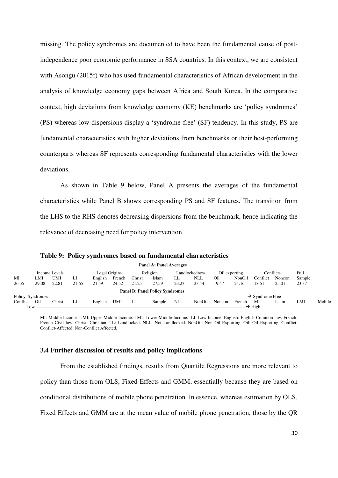missing. The policy syndromes are documented to have been the fundamental cause of postindependence poor economic performance in SSA countries. In this context, we are consistent with Asongu (2015f) who has used fundamental characteristics of African development in the analysis of knowledge economy gaps between Africa and South Korea. In the comparative context, high deviations from knowledge economy (KE) benchmarks are 'policy syndromes' (PS) whereas low dispersions display a 'syndrome-free' (SF) tendency. In this study, PS are fundamental characteristics with higher deviations from benchmarks or their best-performing counterparts whereas SF represents corresponding fundamental characteristics with the lower deviations.

As shown in Table 9 below, Panel A presents the averages of the fundamental characteristics while Panel B shows corresponding PS and SF features. The transition from the LHS to the RHS denotes decreasing dispersions from the benchmark, hence indicating the relevance of decreasing need for policy intervention.

|                                      |       |               |       |               |        |        | <b>Panel A: Panel Averages</b>         |            |                |        |               |                             |           |        |        |
|--------------------------------------|-------|---------------|-------|---------------|--------|--------|----------------------------------------|------------|----------------|--------|---------------|-----------------------------|-----------|--------|--------|
|                                      |       | Income Levels |       | Legal Origins |        |        | Religion                               |            | Landlockedness |        | Oil exporting |                             | Conflicts | Full   |        |
| MI                                   | LMI   | UMI           | LI    | English       | French | Christ | Islam                                  | LL         | NLL            | Oil    | NonOil        | Conflict                    | Noncon.   | Sample |        |
| 26.55                                | 29.08 | 22.81         | 21.65 | 21.59         | 24.52  | 21.25  | 27.59                                  | 23.23      | 23.44          | 19.47  | 24.16         | 18.51                       | 25.01     | 23.37  |        |
|                                      |       |               |       |               |        |        | <b>Panel B: Panel Policy Syndromes</b> |            |                |        |               |                             |           |        |        |
| Policy Syndromes ------------------- |       |               |       |               |        |        |                                        |            |                |        |               | $\rightarrow$ Syndrome Free |           |        |        |
| Conflict                             | Oil   | Christ        | LI    | English       | UMI    | LL     | Sample                                 | <b>NLL</b> | NonOil         | Noncon | French        | MI                          | Islam     | LMI    | Mobile |
| Low.                                 |       |               |       |               |        |        |                                        |            |                |        |               |                             |           |        |        |
|                                      |       |               |       |               |        |        |                                        |            |                |        |               |                             |           |        |        |

**Table 9: Policy syndromes based on fundamental characteristics** 

MI: Middle Income. UMI: Upper Middle Income. LMI: Lower Middle Income. LI: Low Income. English: English Common law. French: French Civil law. Christ: Christian. LL: Landlocked. NLL: Not Landlocked. NonOil: Non Oil Exporting. Oil: Oil Exporting. Conflict: Conflict-Affected. Non-Conflict Affected.

#### **3.4 Further discussion of results and policy implications**

 From the established findings, results from Quantile Regressions are more relevant to policy than those from OLS, Fixed Effects and GMM, essentially because they are based on conditional distributions of mobile phone penetration. In essence, whereas estimation by OLS, Fixed Effects and GMM are at the mean value of mobile phone penetration, those by the QR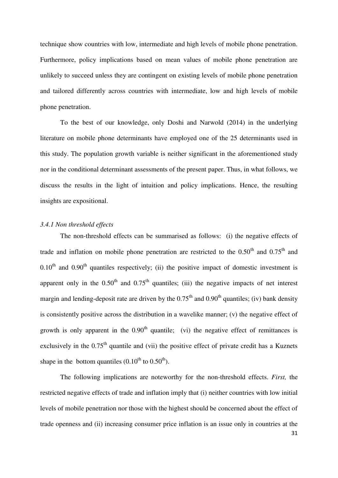technique show countries with low, intermediate and high levels of mobile phone penetration. Furthermore, policy implications based on mean values of mobile phone penetration are unlikely to succeed unless they are contingent on existing levels of mobile phone penetration and tailored differently across countries with intermediate, low and high levels of mobile phone penetration.

To the best of our knowledge, only Doshi and Narwold (2014) in the underlying literature on mobile phone determinants have employed one of the 25 determinants used in this study. The population growth variable is neither significant in the aforementioned study nor in the conditional determinant assessments of the present paper. Thus, in what follows, we discuss the results in the light of intuition and policy implications. Hence, the resulting insights are expositional.

#### *3.4.1 Non threshold effects*

 The non-threshold effects can be summarised as follows: (i) the negative effects of trade and inflation on mobile phone penetration are restricted to the  $0.50<sup>th</sup>$  and  $0.75<sup>th</sup>$  and  $0.10<sup>th</sup>$  and  $0.90<sup>th</sup>$  quantiles respectively; (ii) the positive impact of domestic investment is apparent only in the  $0.50<sup>th</sup>$  and  $0.75<sup>th</sup>$  quantiles; (iii) the negative impacts of net interest margin and lending-deposit rate are driven by the  $0.75<sup>th</sup>$  and  $0.90<sup>th</sup>$  quantiles; (iv) bank density is consistently positive across the distribution in a wavelike manner; (v) the negative effect of growth is only apparent in the  $0.90<sup>th</sup>$  quantile; (vi) the negative effect of remittances is exclusively in the  $0.75<sup>th</sup>$  quantile and (vii) the positive effect of private credit has a Kuznets shape in the bottom quantiles  $(0.10^{th}$  to  $0.50^{th})$ .

 The following implications are noteworthy for the non-threshold effects. *First,* the restricted negative effects of trade and inflation imply that (i) neither countries with low initial levels of mobile penetration nor those with the highest should be concerned about the effect of trade openness and (ii) increasing consumer price inflation is an issue only in countries at the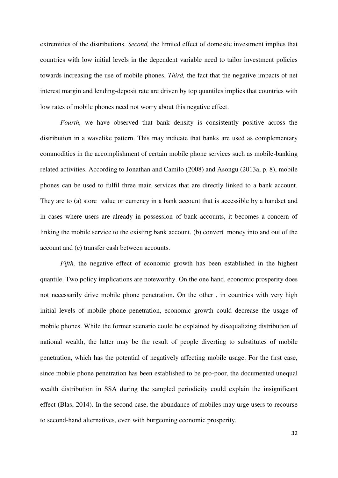extremities of the distributions. *Second,* the limited effect of domestic investment implies that countries with low initial levels in the dependent variable need to tailor investment policies towards increasing the use of mobile phones. *Third,* the fact that the negative impacts of net interest margin and lending-deposit rate are driven by top quantiles implies that countries with low rates of mobile phones need not worry about this negative effect.

*Fourth*, we have observed that bank density is consistently positive across the distribution in a wavelike pattern. This may indicate that banks are used as complementary commodities in the accomplishment of certain mobile phone services such as mobile-banking related activities. According to Jonathan and Camilo (2008) and Asongu (2013a, p. 8), mobile phones can be used to fulfil three main services that are directly linked to a bank account. They are to (a) store value or currency in a bank account that is accessible by a handset and in cases where users are already in possession of bank accounts, it becomes a concern of linking the mobile service to the existing bank account. (b) convert money into and out of the account and (c) transfer cash between accounts.

*Fifth,* the negative effect of economic growth has been established in the highest quantile. Two policy implications are noteworthy. On the one hand, economic prosperity does not necessarily drive mobile phone penetration. On the other , in countries with very high initial levels of mobile phone penetration, economic growth could decrease the usage of mobile phones. While the former scenario could be explained by disequalizing distribution of national wealth, the latter may be the result of people diverting to substitutes of mobile penetration, which has the potential of negatively affecting mobile usage. For the first case, since mobile phone penetration has been established to be pro-poor, the documented unequal wealth distribution in SSA during the sampled periodicity could explain the insignificant effect (Blas, 2014). In the second case, the abundance of mobiles may urge users to recourse to second-hand alternatives, even with burgeoning economic prosperity.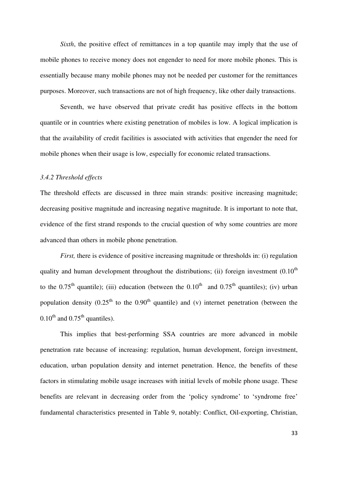*Sixth*, the positive effect of remittances in a top quantile may imply that the use of mobile phones to receive money does not engender to need for more mobile phones. This is essentially because many mobile phones may not be needed per customer for the remittances purposes. Moreover, such transactions are not of high frequency, like other daily transactions.

Seventh, we have observed that private credit has positive effects in the bottom quantile or in countries where existing penetration of mobiles is low. A logical implication is that the availability of credit facilities is associated with activities that engender the need for mobile phones when their usage is low, especially for economic related transactions.

# *3.4.2 Threshold effects*

The threshold effects are discussed in three main strands: positive increasing magnitude; decreasing positive magnitude and increasing negative magnitude. It is important to note that, evidence of the first strand responds to the crucial question of why some countries are more advanced than others in mobile phone penetration.

*First*, there is evidence of positive increasing magnitude or thresholds in: (i) regulation quality and human development throughout the distributions; (ii) foreign investment  $(0.10<sup>th</sup>$ to the 0.75<sup>th</sup> quantile); (iii) education (between the  $0.10<sup>th</sup>$  and  $0.75<sup>th</sup>$  quantiles); (iv) urban population density  $(0.25<sup>th</sup>$  to the  $0.90<sup>th</sup>$  quantile) and (v) internet penetration (between the  $0.10^{th}$  and  $0.75^{th}$  quantiles).

This implies that best-performing SSA countries are more advanced in mobile penetration rate because of increasing: regulation, human development, foreign investment, education, urban population density and internet penetration. Hence, the benefits of these factors in stimulating mobile usage increases with initial levels of mobile phone usage. These benefits are relevant in decreasing order from the 'policy syndrome' to 'syndrome free' fundamental characteristics presented in Table 9, notably: Conflict, Oil-exporting, Christian,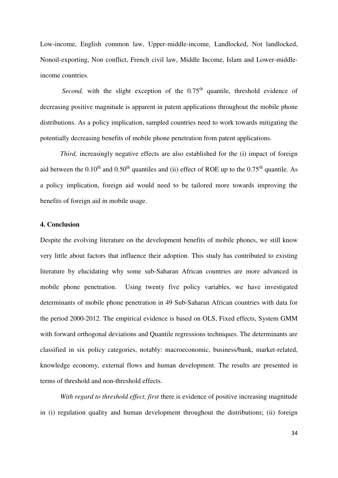Low-income, English common law, Upper-middle-income, Landlocked, Not landlocked, Nonoil-exporting, Non conflict, French civil law, Middle Income, Islam and Lower-middleincome countries.

*Second*, with the slight exception of the  $0.75<sup>th</sup>$  quantile, threshold evidence of decreasing positive magnitude is apparent in patent applications throughout the mobile phone distributions. As a policy implication, sampled countries need to work towards mitigating the potentially decreasing benefits of mobile phone penetration from patent applications.

*Third,* increasingly negative effects are also established for the (i) impact of foreign aid between the  $0.10^{th}$  and  $0.50^{th}$  quantiles and (ii) effect of ROE up to the  $0.75^{th}$  quantile. As a policy implication, foreign aid would need to be tailored more towards improving the benefits of foreign aid in mobile usage.

#### **4. Conclusion**

Despite the evolving literature on the development benefits of mobile phones, we still know very little about factors that influence their adoption. This study has contributed to existing literature by elucidating why some sub-Saharan African countries are more advanced in mobile phone penetration. Using twenty five policy variables, we have investigated determinants of mobile phone penetration in 49 Sub-Saharan African countries with data for the period 2000-2012. The empirical evidence is based on OLS, Fixed effects, System GMM with forward orthogonal deviations and Quantile regressions techniques. The determinants are classified in six policy categories, notably: macroeconomic, business/bank, market-related, knowledge economy, external flows and human development. The results are presented in terms of threshold and non-threshold effects.

*With regard to threshold effect, first* there is evidence of positive increasing magnitude in (i) regulation quality and human development throughout the distributions; (ii) foreign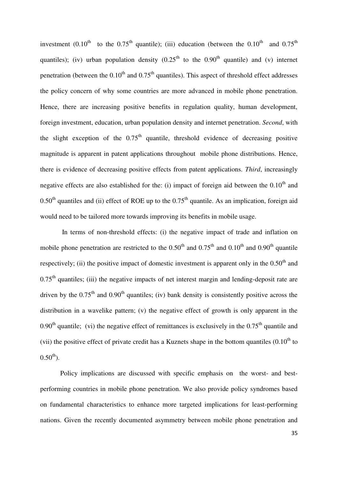investment (0.10<sup>th</sup> to the 0.75<sup>th</sup> quantile); (iii) education (between the 0.10<sup>th</sup> and 0.75<sup>th</sup> quantiles); (iv) urban population density  $(0.25<sup>th</sup>$  to the  $0.90<sup>th</sup>$  quantile) and (v) internet penetration (between the  $0.10<sup>th</sup>$  and  $0.75<sup>th</sup>$  quantiles). This aspect of threshold effect addresses the policy concern of why some countries are more advanced in mobile phone penetration. Hence, there are increasing positive benefits in regulation quality, human development, foreign investment, education, urban population density and internet penetration. *Second*, with the slight exception of the  $0.75<sup>th</sup>$  quantile, threshold evidence of decreasing positive magnitude is apparent in patent applications throughout mobile phone distributions. Hence, there is evidence of decreasing positive effects from patent applications. *Third*, increasingly negative effects are also established for the: (i) impact of foreign aid between the  $0.10<sup>th</sup>$  and  $0.50<sup>th</sup>$  quantiles and (ii) effect of ROE up to the  $0.75<sup>th</sup>$  quantile. As an implication, foreign aid would need to be tailored more towards improving its benefits in mobile usage.

 In terms of non-threshold effects: (i) the negative impact of trade and inflation on mobile phone penetration are restricted to the  $0.50<sup>th</sup>$  and  $0.75<sup>th</sup>$  and  $0.10<sup>th</sup>$  and  $0.90<sup>th</sup>$  quantile respectively; (ii) the positive impact of domestic investment is apparent only in the  $0.50<sup>th</sup>$  and  $0.75<sup>th</sup>$  quantiles; (iii) the negative impacts of net interest margin and lending-deposit rate are driven by the  $0.75<sup>th</sup>$  and  $0.90<sup>th</sup>$  quantiles; (iv) bank density is consistently positive across the distribution in a wavelike pattern; (v) the negative effect of growth is only apparent in the 0.90<sup>th</sup> quantile; (vi) the negative effect of remittances is exclusively in the  $0.75<sup>th</sup>$  quantile and (vii) the positive effect of private credit has a Kuznets shape in the bottom quantiles  $(0.10<sup>th</sup>$  to  $0.50^{th}$ ).

 Policy implications are discussed with specific emphasis on the worst- and bestperforming countries in mobile phone penetration. We also provide policy syndromes based on fundamental characteristics to enhance more targeted implications for least-performing nations. Given the recently documented asymmetry between mobile phone penetration and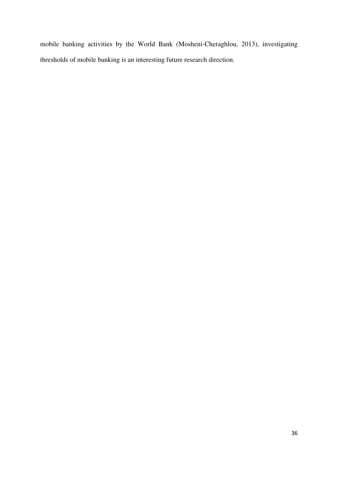mobile banking activities by the World Bank (Mosheni-Cheraghlou, 2013), investigating thresholds of mobile banking is an interesting future research direction.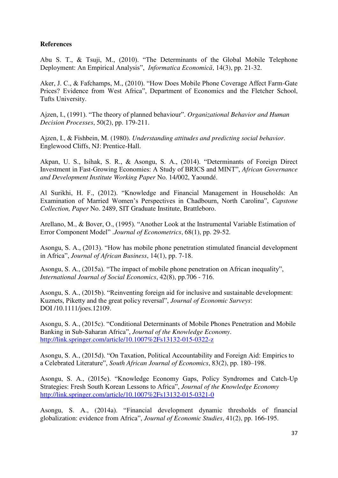# **References**

Abu S. T., & Tsuji, M., (2010). "The Determinants of the Global Mobile Telephone Deployment: An Empirical Analysis", *Informatica Economică*, 14(3), pp. 21-32.

Aker, J. C., & Fafchamps, M., (2010). "How Does Mobile Phone Coverage Affect Farm-Gate Prices? Evidence from West Africa", Department of Economics and the Fletcher School, Tufts University.

Ajzen, I., (1991). "The theory of planned behaviour". *Organizational Behavior and Human Decision Processes*, 50(2), pp. 179-211.

Ajzen, I., & Fishbein, M. (1980). *Understanding attitudes and predicting social behavior*. Englewood Cliffs, NJ: Prentice-Hall.

Akpan, U. S., Isihak, S. R., & Asongu, S. A., (2014). "Determinants of Foreign Direct Investment in Fast-Growing Economies: A Study of BRICS and MINT", *African Governance and Development Institute Working Paper* No. 14/002, Yaoundé.

Al Surikhi, H. F., (2012). "Knowledge and Financial Management in Households: An Examination of Married Women's Perspectives in Chadbourn, North Carolina", *Capstone Collection, Paper* No. 2489, SIT Graduate Institute, Brattleboro.

Arellano, M., & Bover, O., (1995). "Another Look at the Instrumental Variable Estimation of Error Component Model" .*Journal of Econometrics*, 68(1), pp. 29-52.

Asongu, S. A., (2013). "How has mobile phone penetration stimulated financial development in Africa", *Journal of African Business*, 14(1), pp. 7-18.

Asongu, S. A., (2015a). "The impact of mobile phone penetration on African inequality", *International Journal of Social Economics*, 42(8), pp.706 - 716.

Asongu, S. A., (2015b). "Reinventing foreign aid for inclusive and sustainable development: Kuznets, Piketty and the great policy reversal", *Journal of Economic Surveys*: DOI /10.1111/joes.12109.

Asongu, S. A., (2015c). "Conditional Determinants of Mobile Phones Penetration and Mobile Banking in Sub-Saharan Africa", *Journal of the Knowledge Economy*. <http://link.springer.com/article/10.1007%2Fs13132-015-0322-z>

Asongu, S. A., (2015d). "On Taxation, Political Accountability and Foreign Aid: Empirics to a Celebrated Literature", *South African Journal of Economics*, 83(2), pp. 180–198.

Asongu, S. A., (2015e). "Knowledge Economy Gaps, Policy Syndromes and Catch-Up Strategies: Fresh South Korean Lessons to Africa", *Journal of the Knowledge Economy* <http://link.springer.com/article/10.1007%2Fs13132-015-0321-0>

Asongu, S. A., (2014a). "Financial development dynamic thresholds of financial globalization: evidence from Africa", *Journal of Economic Studies*, 41(2), pp. 166-195.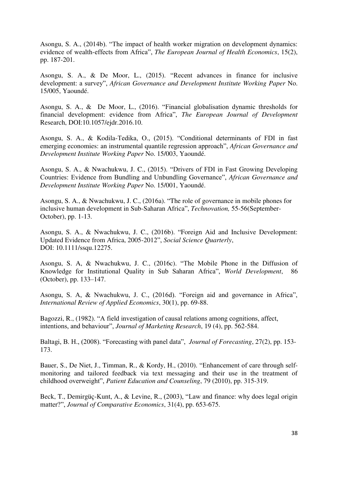Asongu, S. A., (2014b). "The impact of health worker migration on development dynamics: evidence of wealth-effects from Africa", *The European Journal of Health Economics*, 15(2), pp. 187-201.

Asongu, S. A., & De Moor, L., (2015). "Recent advances in finance for inclusive development: a survey", *African Governance and Development Institute Working Paper* No. 15/005, Yaoundé.

Asongu, S. A., & De Moor, L., (2016). "Financial globalisation dynamic thresholds for financial development: evidence from Africa", *The European Journal of Development* Research, DOI:10.1057/ejdr.2016.10.

Asongu, S. A., & Kodila-Tedika, O., (2015). "Conditional determinants of FDI in fast emerging economies: an instrumental quantile regression approach", *African Governance and Development Institute Working Paper* No. 15/003, Yaoundé.

Asongu, S. A., & Nwachukwu, J. C., (2015). "Drivers of FDI in Fast Growing Developing Countries: Evidence from Bundling and Unbundling Governance", *African Governance and Development Institute Working Paper* No. 15/001, Yaoundé.

Asongu, S. A., & Nwachukwu, J. C., (2016a). "The role of governance in mobile phones for inclusive human development in Sub-Saharan Africa", *Technovation,* 55-56(September-October), pp. 1-13.

Asongu, S. A., & Nwachukwu, J. C., (2016b). "Foreign Aid and Inclusive Development: Updated Evidence from Africa, 2005-2012", *Social Science Quarterly*, DOI: 10.1111/ssqu.12275.

Asongu, S. A, & Nwachukwu, J. C., (2016c). "The Mobile Phone in the Diffusion of Knowledge for Institutional Quality in Sub Saharan Africa", *World Development*, 86 (October), pp. 133–147.

Asongu, S. A, & Nwachukwu, J. C., (2016d). "Foreign aid and governance in Africa", *International Review of Applied Economics*, 30(1), pp. 69-88.

Bagozzi, R., (1982). "A field investigation of causal relations among cognitions, affect, intentions, and behaviour", *Journal of Marketing Research*, 19 (4), pp. 562-584.

Baltagi, B. H., (2008). "Forecasting with panel data", *Journal of Forecasting*, 27(2), pp. 153- 173.

Bauer, S., De Niet, J., Timman, R., & Kordy, H., (2010). "Enhancement of care through selfmonitoring and tailored feedback via text messaging and their use in the treatment of childhood overweight", *Patient Education and Counseling*, 79 (2010), pp. 315-319.

Beck, T., Demirgüç-Kunt, A., & Levine, R., (2003), "Law and finance: why does legal origin matter?", *Journal of Comparative Economics*, 31(4), pp. 653-675.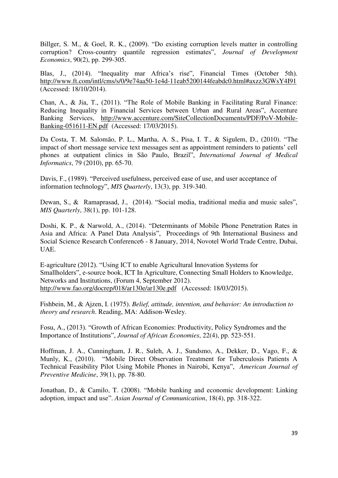Billger, S. M., & Goel, R. K., (2009). "Do existing corruption levels matter in controlling corruption? Cross-country quantile regression estimates", *Journal of Development Economics*, 90(2), pp. 299-305.

Blas, J., (2014). "Inequality mar Africa's rise", Financial Times (October 5th). <http://www.ft.com/intl/cms/s/0/9e74aa50-1e4d-11eab5200144feabdc0.html#axzz3GWsY4I91> (Accessed: 18/10/2014).

Chan, A., & Jia, T., (2011). "The Role of Mobile Banking in Facilitating Rural Finance: Reducing Inequality in Financial Services between Urban and Rural Areas", Accenture Banking Services, [http://www.accenture.com/SiteCollectionDocuments/PDF/PoV-Mobile-](http://www.accenture.com/SiteCollectionDocuments/PDF/PoV-Mobile-Banking-051611-EN.pdf)[Banking-051611-EN.pdf](http://www.accenture.com/SiteCollectionDocuments/PDF/PoV-Mobile-Banking-051611-EN.pdf) (Accessed: 17/03/2015).

Da Costa, T. M. Salomão, P. L., Martha, A. S., Pisa, I. T., & Sigulem, D., (2010). "The impact of short message service text messages sent as appointment reminders to patients' cell phones at outpatient clinics in São Paulo, Brazil", *International Journal of Medical Informatics*, 79 (2010), pp. 65-70.

Davis, F., (1989). "Perceived usefulness, perceived ease of use, and user acceptance of information technology", *MIS Quarterly*, 13(3), pp. 319-340.

Dewan, S., & Ramaprasad, J., (2014). "Social media, traditional media and music sales", *MIS Quarterly*, 38(1), pp. 101-128.

Doshi, K. P., & Narwold, A., (2014). "Determinants of Mobile Phone Penetration Rates in Asia and Africa: A Panel Data Analysis", Proceedings of 9th International Business and Social Science Research Conference6 - 8 January, 2014, Novotel World Trade Centre, Dubai, UAE.

E-agriculture (2012). "Using ICT to enable Agricultural Innovation Systems for Smallholders", e-source book, ICT In Agriculture, Connecting Small Holders to Knowledge, Networks and Institutions, (Forum 4, September 2012). <http://www.fao.org/docrep/018/ar130e/ar130e.pdf>(Accessed: 18/03/2015).

Fishbein, M., & Ajzen, I. (1975). *Belief, attitude, intention, and behavior: An introduction to theory and research*. Reading, MA: Addison-Wesley.

Fosu, A., (2013). "Growth of African Economies: Productivity, Policy Syndromes and the Importance of Institutions", *Journal of African Economies*, 22(4), pp. 523-551.

Hoffman, J. A., Cunningham, J. R., Suleh, A. J., Sundsmo, A., Dekker, D., Vago, F., & Munly, K., (2010). "Mobile Direct Observation Treatment for Tuberculosis Patients A Technical Feasibility Pilot Using Mobile Phones in Nairobi, Kenya", *American Journal of Preventive Medicine*, 39(1), pp. 78-80.

Jonathan, D., & Camilo, T. (2008). "Mobile banking and economic development: Linking adoption, impact and use". *Asian Journal of Communication*, 18(4), pp. 318-322.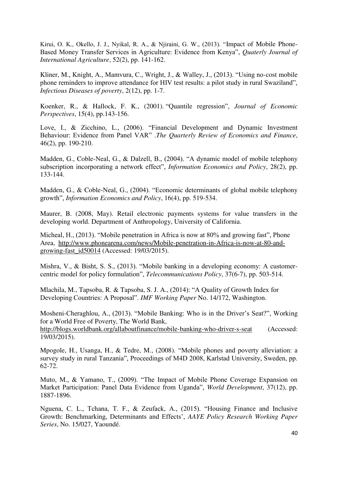Kirui, O. K., Okello, J. J., Nyikal, R. A., & Njiraini, G. W., (2013). "Impact of Mobile Phone-Based Money Transfer Services in Agriculture: Evidence from Kenya", *Quaterly Journal of International Agriculture*, 52(2), pp. 141-162.

Kliner, M., Knight, A., Mamvura, C., Wright, J., & Walley, J., (2013). "Using no-cost mobile phone reminders to improve attendance for HIV test results: a pilot study in rural Swaziland", *Infectious Diseases of poverty*, 2(12), pp. 1-7.

Koenker, R., & Hallock, F. K., (2001). "Quantile regression", *Journal of Economic Perspectives*, 15(4), pp.143-156.

Love, I., & Zicchino, L., (2006). "Financial Development and Dynamic Investment Behaviour: Evidence from Panel VAR" .*The Quarterly Review of Economics and Finance*, 46(2), pp. 190-210.

Madden, G., Coble-Neal, G., & Dalzell, B., (2004). "A dynamic model of mobile telephony subscription incorporating a network effect", *Information Economics and Policy*, 28(2), pp. 133-144.

Madden, G., & Coble-Neal, G., (2004). "Economic determinants of global mobile telephony growth", *Information Economics and Policy*, 16(4), pp. 519-534.

Maurer, B. (2008, May). Retail electronic payments systems for value transfers in the developing world. Department of Anthropology, University of California.

Micheal, H., (2013). "Mobile penetration in Africa is now at 80% and growing fast", Phone Area, [http://www.phonearena.com/news/Mobile-penetration-in-Africa-is-now-at-80-and](http://www.phonearena.com/news/Mobile-penetration-in-Africa-is-now-at-80-and-growing-fast_id50014)[growing-fast\\_id50014](http://www.phonearena.com/news/Mobile-penetration-in-Africa-is-now-at-80-and-growing-fast_id50014) (Accessed: 19/03/2015).

Mishra, V., & Bisht, S. S., (2013). "Mobile banking in a developing economy: A customercentric model for policy formulation", *Telecommunications Policy*, 37(6-7), pp. 503-514.

Mlachila, M., Tapsoba, R. & Tapsoba, S. J. A., (2014): "A Quality of Growth Index for Developing Countries: A Proposal". *IMF Working Paper* No. 14/172, Washington.

Mosheni-Cheraghlou, A., (2013). "Mobile Banking: Who is in the Driver's Seat?", Working for a World Free of Poverty, The World Bank,

<http://blogs.worldbank.org/allaboutfinance/mobile-banking-who-driver-s-seat>(Accessed: 19/03/2015).

Mpogole, H., Usanga, H., & Tedre, M., (2008). "Mobile phones and poverty alleviation: a survey study in rural Tanzania", Proceedings of M4D 2008, Karlstad University, Sweden, pp. 62-72.

Muto, M., & Yamano, T., (2009). "The Impact of Mobile Phone Coverage Expansion on Market Participation: Panel Data Evidence from Uganda", *World Development*, 37(12), pp. 1887-1896.

Nguena, C. L., Tchana, T. F., & Zeufack, A., (2015). "Housing Finance and Inclusive Growth: Benchmarking, Determinants and Effects', *AAYE Policy Research Working Paper Series*, No. 15/027, Yaoundé.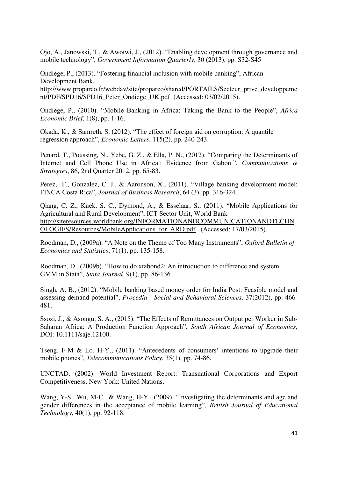Ojo, A., Janowski, T., & Awotwi, J., (2012). "Enabling development through governance and mobile technology", *Government Information Quarterly*, 30 (2013), pp. S32-S45

Ondiege, P., (2013). "Fostering financial inclusion with mobile banking", African Development Bank.

http://www.proparco.fr/webdav/site/proparco/shared/PORTAILS/Secteur\_prive\_developpeme nt/PDF/SPD16/SPD16 Peter Ondiege UK.pdf (Accessed: 03/02/2015).

Ondiege, P., (2010). "Mobile Banking in Africa: Taking the Bank to the People", *Africa Economic Brief*, 1(8), pp. 1-16.

Okada, K., & Samreth, S. (2012). "The effect of foreign aid on corruption: A quantile regression approach", *Economic Letters*, 115(2), pp. 240-243.

Penard, T., Poussing, N., Yebe, G. Z., & Ella, P. N., (2012). "Comparing the Determinants of Internet and Cell Phone Use in Africa : Evidence from Gabon ", *Communications & Strategies*, 86, 2nd Quarter 2012, pp. 65-83.

Perez, F., Gonzalez, C. J., & Aaronson, X., (2011). "Village banking development model: FINCA Costa Rica", *Journal of Business Research*, 64 (3), pp. 316-324.

Qiang, C. Z., Kuek, S. C., Dymond, A., & Esselaar, S., (2011). "Mobile Applications for Agricultural and Rural Development", ICT Sector Unit, World Bank [http://siteresources.worldbank.org/INFORMATIONANDCOMMUNICATIONANDTECHN](http://siteresources.worldbank.org/INFORMATIONANDCOMMUNICATIONANDTECHNOLOGIES/Resources/MobileApplications_for_ARD.pdf) [OLOGIES/Resources/MobileApplications\\_for\\_ARD.pdf](http://siteresources.worldbank.org/INFORMATIONANDCOMMUNICATIONANDTECHNOLOGIES/Resources/MobileApplications_for_ARD.pdf) (Accessed: 17/03/2015).

Roodman, D., (2009a). "A Note on the Theme of Too Many Instruments", *Oxford Bulletin of Economics and Statistics*, 71(1), pp. 135-158.

Roodman, D., (2009b). "How to do xtabond2: An introduction to difference and system GMM in Stata", *Stata Journal*, 9(1), pp. 86-136.

Singh, A. B., (2012). "Mobile banking based money order for India Post: Feasible model and assessing demand potential", *Procedia - Social and Behavioral Sciences*, 37(2012), pp. 466- 481.

Ssozi, J., & Asongu, S. A., (2015). "The Effects of Remittances on Output per Worker in Sub-Saharan Africa: A Production Function Approach", *South African Journal of Economics,*  DOI: 10.1111/saje.12100.

Tseng, F-M & Lo, H-Y., (2011). "Antecedents of consumers' intentions to upgrade their mobile phones", *Telecommunications Policy*, 35(1), pp. 74-86.

UNCTAD. (2002). World Investment Report: Transnational Corporations and Export Competitiveness. New York: United Nations.

Wang, Y-S., Wu, M-C., & Wang, H-Y., (2009). "Investigating the determinants and age and gender differences in the acceptance of mobile learning", *British Journal of Educational Technology*, 40(1), pp. 92-118.